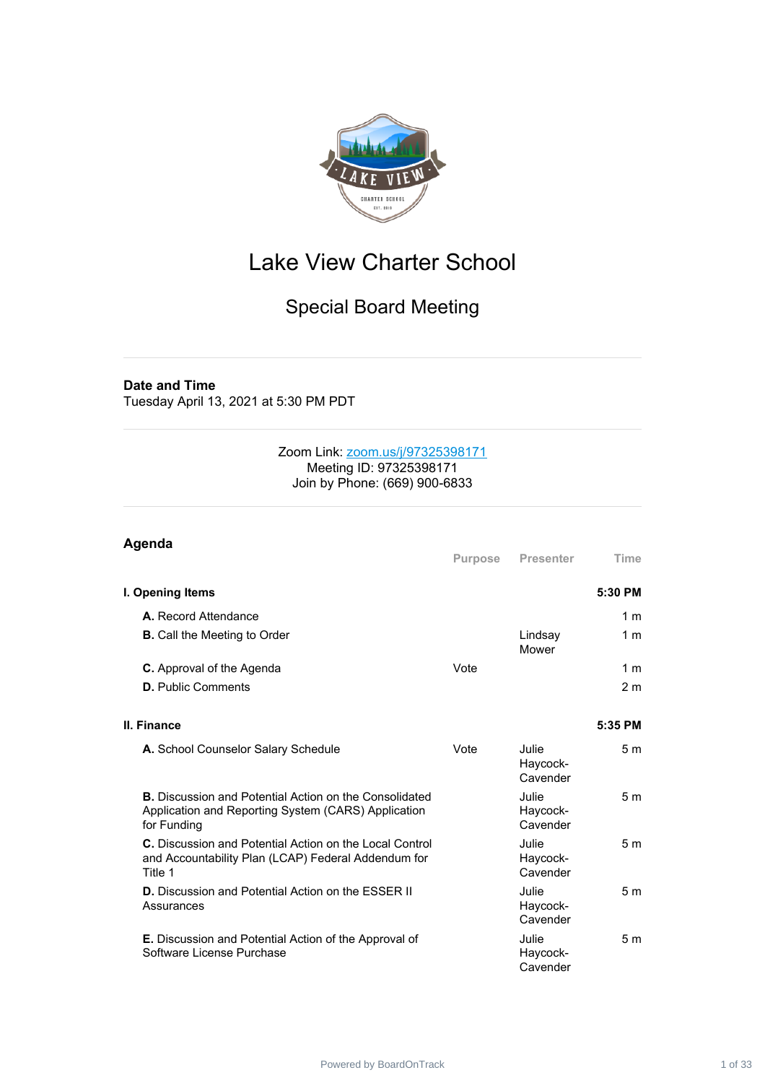

# Lake View Charter School

# Special Board Meeting

### **Date and Time**

Tuesday April 13, 2021 at 5:30 PM PDT

### Zoom Link: [zoom.us/j/97325398171](https://zoom.us/j/97325398171) Meeting ID: 97325398171 Join by Phone: (669) 900-6833

| Agenda                                                                                                                              |                |                               |                |
|-------------------------------------------------------------------------------------------------------------------------------------|----------------|-------------------------------|----------------|
|                                                                                                                                     | <b>Purpose</b> | Presenter                     | <b>Time</b>    |
| I. Opening Items                                                                                                                    |                |                               | 5:30 PM        |
| <b>A.</b> Record Attendance                                                                                                         |                |                               | 1 <sub>m</sub> |
| <b>B.</b> Call the Meeting to Order                                                                                                 |                | Lindsay<br>Mower              | 1 m            |
| <b>C.</b> Approval of the Agenda                                                                                                    | Vote           |                               | 1 <sub>m</sub> |
| <b>D.</b> Public Comments                                                                                                           |                |                               | 2 <sub>m</sub> |
| II. Finance                                                                                                                         |                |                               | 5:35 PM        |
| A. School Counselor Salary Schedule                                                                                                 | Vote           | Julie<br>Haycock-<br>Cavender | 5 <sub>m</sub> |
| <b>B.</b> Discussion and Potential Action on the Consolidated<br>Application and Reporting System (CARS) Application<br>for Funding |                | Julie<br>Haycock-<br>Cavender | 5 <sub>m</sub> |
| C. Discussion and Potential Action on the Local Control<br>and Accountability Plan (LCAP) Federal Addendum for<br>Title 1           |                | Julie<br>Haycock-<br>Cavender | 5 <sub>m</sub> |
| D. Discussion and Potential Action on the ESSER II<br>Assurances                                                                    |                | Julie<br>Haycock-<br>Cavender | 5 <sub>m</sub> |
| <b>E.</b> Discussion and Potential Action of the Approval of<br>Software License Purchase                                           |                | Julie<br>Haycock-<br>Cavender | 5 <sub>m</sub> |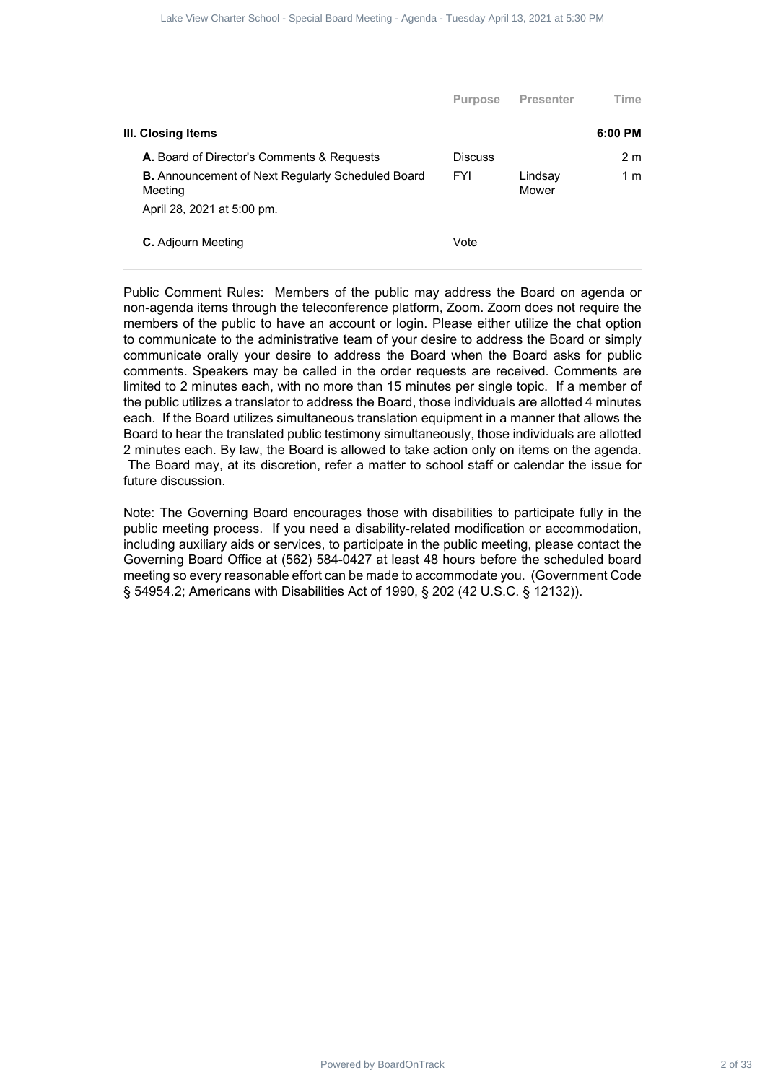|                                                                     | <b>Purpose</b> | <b>Presenter</b> | Time           |
|---------------------------------------------------------------------|----------------|------------------|----------------|
| III. Closing Items                                                  |                |                  | $6:00$ PM      |
| A. Board of Director's Comments & Requests                          | <b>Discuss</b> |                  | 2 <sub>m</sub> |
| <b>B.</b> Announcement of Next Regularly Scheduled Board<br>Meeting | <b>FYI</b>     | Lindsay<br>Mower | 1 m            |
| April 28, 2021 at 5:00 pm.                                          |                |                  |                |
| <b>C.</b> Adjourn Meeting                                           | Vote           |                  |                |

Public Comment Rules: Members of the public may address the Board on agenda or non-agenda items through the teleconference platform, Zoom. Zoom does not require the members of the public to have an account or login. Please either utilize the chat option to communicate to the administrative team of your desire to address the Board or simply communicate orally your desire to address the Board when the Board asks for public comments. Speakers may be called in the order requests are received. Comments are limited to 2 minutes each, with no more than 15 minutes per single topic. If a member of the public utilizes a translator to address the Board, those individuals are allotted 4 minutes each. If the Board utilizes simultaneous translation equipment in a manner that allows the Board to hear the translated public testimony simultaneously, those individuals are allotted 2 minutes each. By law, the Board is allowed to take action only on items on the agenda. The Board may, at its discretion, refer a matter to school staff or calendar the issue for future discussion. Power Charter School - Special Board - Tuesday April 2 of 2021 at 5:30 2 of 2021 at 5:30 PM<br>
Brand Board Charter School - Special Board<br>
Power Charter School - Special Board<br>
School - Special Board<br>
- Meeting - Agenda - Tu

Note: The Governing Board encourages those with disabilities to participate fully in the public meeting process. If you need a disability-related modification or accommodation, including auxiliary aids or services, to participate in the public meeting, please contact the Governing Board Office at (562) 584-0427 at least 48 hours before the scheduled board meeting so every reasonable effort can be made to accommodate you. (Government Code § 54954.2; Americans with Disabilities Act of 1990, § 202 (42 U.S.C. § 12132)).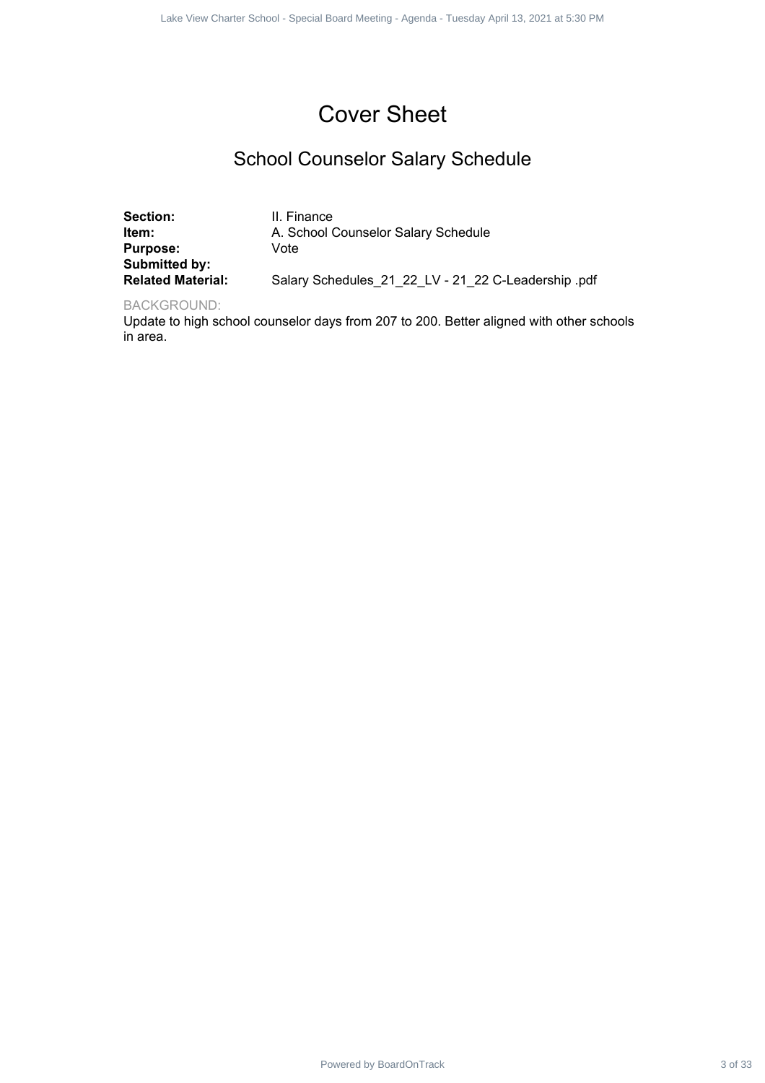# Cover Sheet

## School Counselor Salary Schedule

|                                                                                                         | Lake View Charter School - Special Board Meeting - Agenda - Tuesday April 13, 2021 at 5:30 PM                                                                                                                |         |
|---------------------------------------------------------------------------------------------------------|--------------------------------------------------------------------------------------------------------------------------------------------------------------------------------------------------------------|---------|
|                                                                                                         |                                                                                                                                                                                                              |         |
|                                                                                                         | <b>Cover Sheet</b>                                                                                                                                                                                           |         |
|                                                                                                         | <b>School Counselor Salary Schedule</b>                                                                                                                                                                      |         |
| Section:<br>Item:<br><b>Purpose:</b><br>Submitted by:<br><b>Related Material:</b><br><b>BACKGROUND:</b> | II. Finance<br>A. School Counselor Salary Schedule<br>Vote<br>Salary Schedules_21_22_LV - 21_22 C-Leadership .pdf<br>Update to high school counselor days from 207 to 200. Better aligned with other schools |         |
| in area.                                                                                                |                                                                                                                                                                                                              |         |
|                                                                                                         |                                                                                                                                                                                                              |         |
|                                                                                                         |                                                                                                                                                                                                              |         |
|                                                                                                         |                                                                                                                                                                                                              |         |
|                                                                                                         |                                                                                                                                                                                                              |         |
|                                                                                                         |                                                                                                                                                                                                              |         |
|                                                                                                         |                                                                                                                                                                                                              |         |
|                                                                                                         |                                                                                                                                                                                                              |         |
|                                                                                                         |                                                                                                                                                                                                              |         |
|                                                                                                         |                                                                                                                                                                                                              |         |
|                                                                                                         |                                                                                                                                                                                                              |         |
|                                                                                                         |                                                                                                                                                                                                              |         |
|                                                                                                         |                                                                                                                                                                                                              |         |
|                                                                                                         | Powered by BoardOnTrack                                                                                                                                                                                      | 3 of 33 |

### BACKGROUND: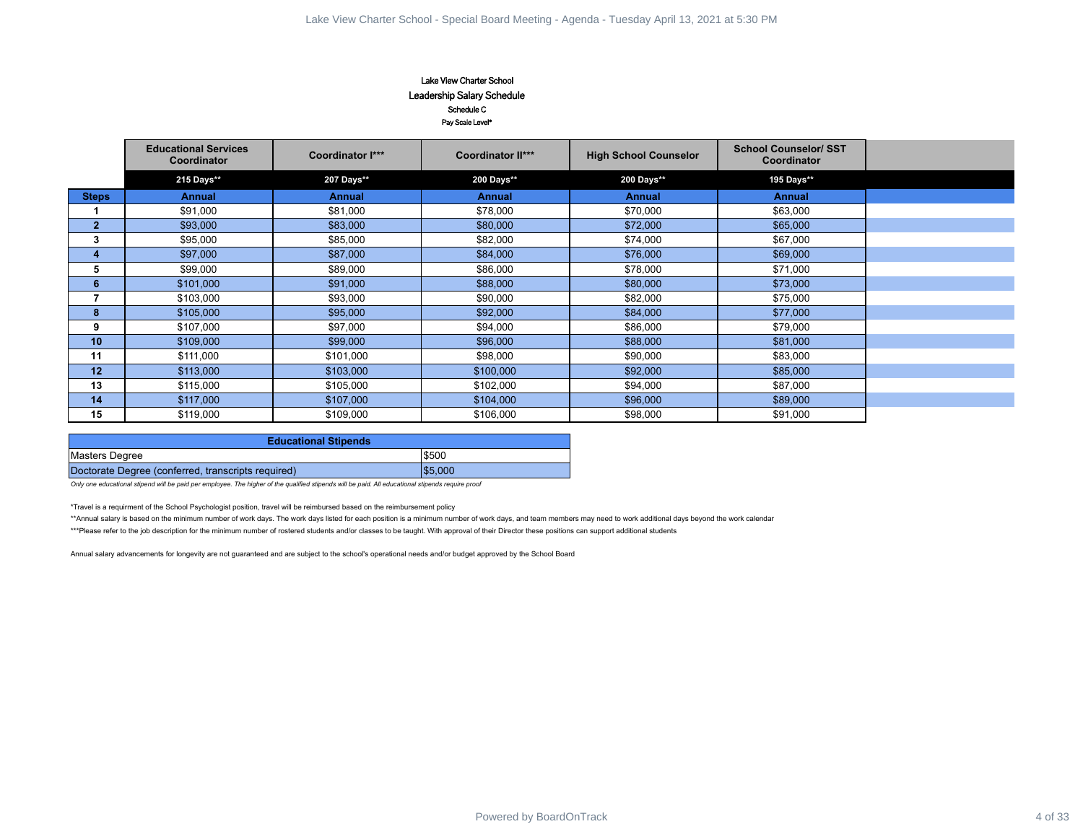### Lake View Charter School Leadership Salary Schedule Schedule C Pay Scale Level\*

| Lake View Charter School<br>Leadership Salary Schedule<br>Schedule C<br>Pay Scale Level*                                                                                                                         |         |
|------------------------------------------------------------------------------------------------------------------------------------------------------------------------------------------------------------------|---------|
| <b>School Counselor/ SST</b><br><b>Educational Services</b><br>Coordinator I***<br><b>Coordinator II***</b><br><b>High School Counselor</b><br>Coordinator<br>Coordinator                                        |         |
| 207 Days**<br>200 Days**<br>215 Days**<br>200 Days**<br>195 Days**                                                                                                                                               |         |
| <b>Steps</b><br><b>Annual</b><br><b>Annual</b><br><b>Annual</b><br><b>Annual</b><br><b>Annual</b>                                                                                                                |         |
| $\mathbf{1}$<br>\$91,000<br>\$81,000<br>\$78,000<br>\$70,000<br>\$63,000                                                                                                                                         |         |
| $\mathbf{2}$<br>\$93,000<br>\$83,000<br>\$80,000<br>\$72,000<br>\$65,000                                                                                                                                         |         |
| $\mathbf{3}$<br>\$95,000<br>\$85,000<br>\$82,000<br>\$74,000<br>\$67,000                                                                                                                                         |         |
| $\overline{\mathbf{4}}$<br>\$69,000<br>\$97,000<br>\$87,000<br>\$84,000<br>\$76,000                                                                                                                              |         |
| 5<br>\$86,000<br>\$99,000<br>\$89,000<br>\$78,000<br>\$71,000                                                                                                                                                    |         |
| 6<br>\$88,000<br>\$73,000<br>\$101,000<br>\$91,000<br>\$80,000                                                                                                                                                   |         |
| $\overline{7}$<br>\$103,000<br>\$93,000<br>\$90,000<br>\$82,000<br>\$75,000                                                                                                                                      |         |
| 8<br>\$105,000<br>\$92,000<br>\$77,000<br>\$95,000<br>\$84,000                                                                                                                                                   |         |
| 9<br>\$97,000<br>\$79,000<br>\$107,000<br>\$94,000<br>\$86,000                                                                                                                                                   |         |
| 10<br>\$109,000<br>\$99,000<br>\$96,000<br>\$88,000<br>\$81,000                                                                                                                                                  |         |
| 11<br>\$111,000<br>\$101,000<br>\$98,000<br>\$90,000<br>\$83,000                                                                                                                                                 |         |
| 12<br>\$113,000<br>\$103,000<br>\$100,000<br>\$92,000<br>\$85,000                                                                                                                                                |         |
| 13<br>\$87,000<br>\$115,000<br>\$105,000<br>\$102,000<br>\$94,000<br>14                                                                                                                                          |         |
| \$104,000<br>\$89,000<br>\$117,000<br>\$107,000<br>\$96,000<br>15<br>\$119,000<br>\$106,000<br>\$98,000<br>\$91,000<br>\$109,000                                                                                 |         |
|                                                                                                                                                                                                                  |         |
| <b>Educational Stipends</b>                                                                                                                                                                                      |         |
| \$500<br>Masters Degree                                                                                                                                                                                          |         |
| \$5,000<br>Doctorate Degree (conferred, transcripts required)                                                                                                                                                    |         |
| Only one educational stipend will be paid per employee. The higher of the qualified stipends will be paid. All educational stipends require proof                                                                |         |
| *Travel is a requirment of the School Psychologist position, travel will be reimbursed based on the reimbursement policy                                                                                         |         |
| **Annual salary is based on the minimum number of work days. The work days listed for each position is a minimum number of work days, and team members may need to work additional days beyond the work calendar |         |
| ***Please refer to the job description for the minimum number of rostered students and/or classes to be taught. With approval of their Director these positions can support additional students                  |         |
| Annual salary advancements for longevity are not guaranteed and are subject to the school's operational needs and/or budget approved by the School Board                                                         |         |
|                                                                                                                                                                                                                  |         |
|                                                                                                                                                                                                                  |         |
|                                                                                                                                                                                                                  |         |
|                                                                                                                                                                                                                  |         |
|                                                                                                                                                                                                                  |         |
|                                                                                                                                                                                                                  |         |
|                                                                                                                                                                                                                  |         |
|                                                                                                                                                                                                                  |         |
|                                                                                                                                                                                                                  |         |
|                                                                                                                                                                                                                  |         |
|                                                                                                                                                                                                                  |         |
|                                                                                                                                                                                                                  |         |
|                                                                                                                                                                                                                  |         |
|                                                                                                                                                                                                                  |         |
|                                                                                                                                                                                                                  |         |
|                                                                                                                                                                                                                  |         |
| Powered by BoardOnTrack                                                                                                                                                                                          | 4 of 33 |

| <b>Educational Stipends</b>                        |         |
|----------------------------------------------------|---------|
| Masters Degree                                     | \$500   |
| Doctorate Degree (conferred, transcripts required) | \$5.000 |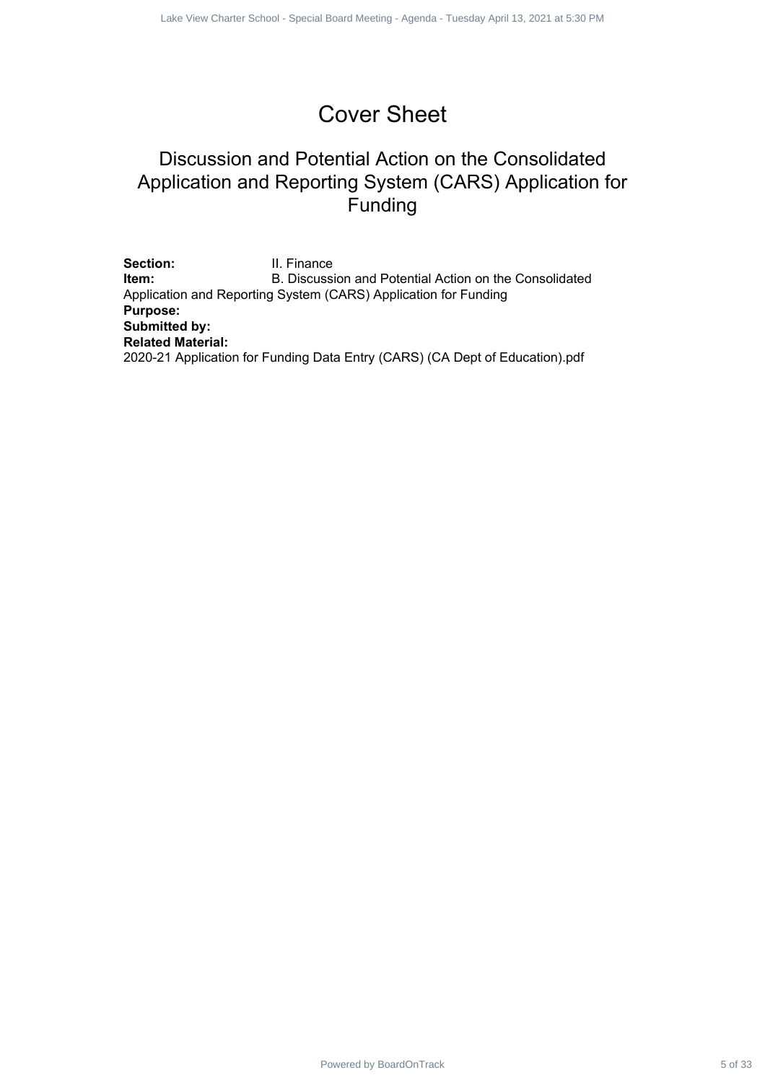# Cover Sheet

### Discussion and Potential Action on the Consolidated Application and Reporting System (CARS) Application for Funding

Section: **II. Finance Item:** B. Discussion and Potential Action on the Consolidated Application and Reporting System (CARS) Application for Funding **Purpose: Submitted by: Related Material:** 2020-21 Application for Funding Data Entry (CARS) (CA Dept of Education).pdf Power Sheet Special States Special Special Board Decision<br>
Discussion and Potentrial Action on the Consolidated<br>
plication and Reporting System (CARS) Application for<br>
Funding<br>
- I. Finance<br>
States Special Board Meeting -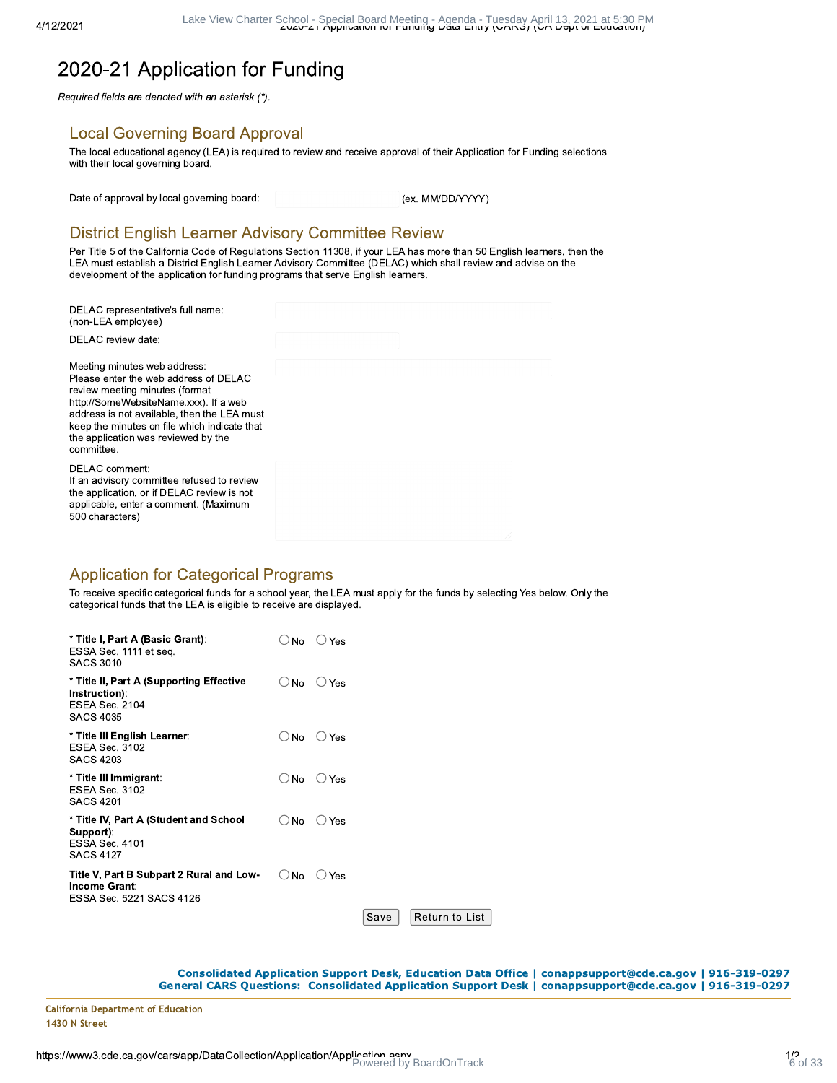## 2020-21 Application for Funding

Required fields are denoted with an asterisk (\*).

### **Local Governing Board Approval**

The local educational agency (LEA) is required to review and receive approval of their Application for Funding selections with their local governing board.

Date of approval by local governing board:

(ex. MM/DD/YYYY)

### **District English Learner Advisory Committee Review**

Per Title 5 of the California Code of Regulations Section 11308, if your LEA has more than 50 English learners, then the LEA must establish a District English Learner Advisory Committee (DELAC) which shall review and advise on the development of the application for funding programs that serve English learners.

| DELAC representative's full name:<br>(non-LEA employee)                                                                                                                                                                                                                                              |  |
|------------------------------------------------------------------------------------------------------------------------------------------------------------------------------------------------------------------------------------------------------------------------------------------------------|--|
| DELAC review date:                                                                                                                                                                                                                                                                                   |  |
| Meeting minutes web address.<br>Please enter the web address of DELAC<br>review meeting minutes (format<br>http://SomeWebsiteName.xxx). If a web<br>address is not available, then the LEA must<br>keep the minutes on file which indicate that<br>the application was reviewed by the<br>committee. |  |
| DELAC comment:<br>If an advisory committee refused to review<br>the application, or if DELAC review is not<br>applicable, enter a comment. (Maximum<br>500 characters)                                                                                                                               |  |

### **Application for Categorical Programs**

To receive specific categorical funds for a school year, the LEA must apply for the funds by selecting Yes below. Only the categorical funds that the LEA is eligible to receive are displayed.

| * Title I, Part A (Basic Grant):<br>ESSA Sec. 1111 et seq.<br><b>SACS 3010</b>                   | No               | Yes      |      |                |  |
|--------------------------------------------------------------------------------------------------|------------------|----------|------|----------------|--|
| * Title II, Part A (Supporting Effective<br>Instruction):<br>ESEA Sec. 2104<br><b>SACS 4035</b>  | $\bigcirc$ No    | $()$ Yes |      |                |  |
| * Title III English Learner∶<br>ESEA Sec. 3102<br><b>SACS 4203</b>                               | <b>No</b><br>( ) | $()$ Yes |      |                |  |
| * Title III Immigrant:<br>ESEA Sec. 3102<br><b>SACS 4201</b>                                     | $\cup$ No        | Yes      |      |                |  |
| * Title IV, Part A (Student and School<br>Support):<br><b>ESSA Sec. 4101</b><br><b>SACS 4127</b> | ∪ No             | Yes      |      |                |  |
| Title V, Part B Subpart 2 Rural and Low-<br>Income Grant:<br>ESSA Sec. 5221 SACS 4126            | <b>No</b>        | Yes      |      |                |  |
|                                                                                                  |                  |          | Save | Return to List |  |

Consolidated Application Support Desk, Education Data Office | conappsupport@cde.ca.gov | 916-319-0297 General CARS Questions: Consolidated Application Support Desk | COnappsupport@cde.ca.gov | 916-319-0297

**California Department of Education** 1430 N Street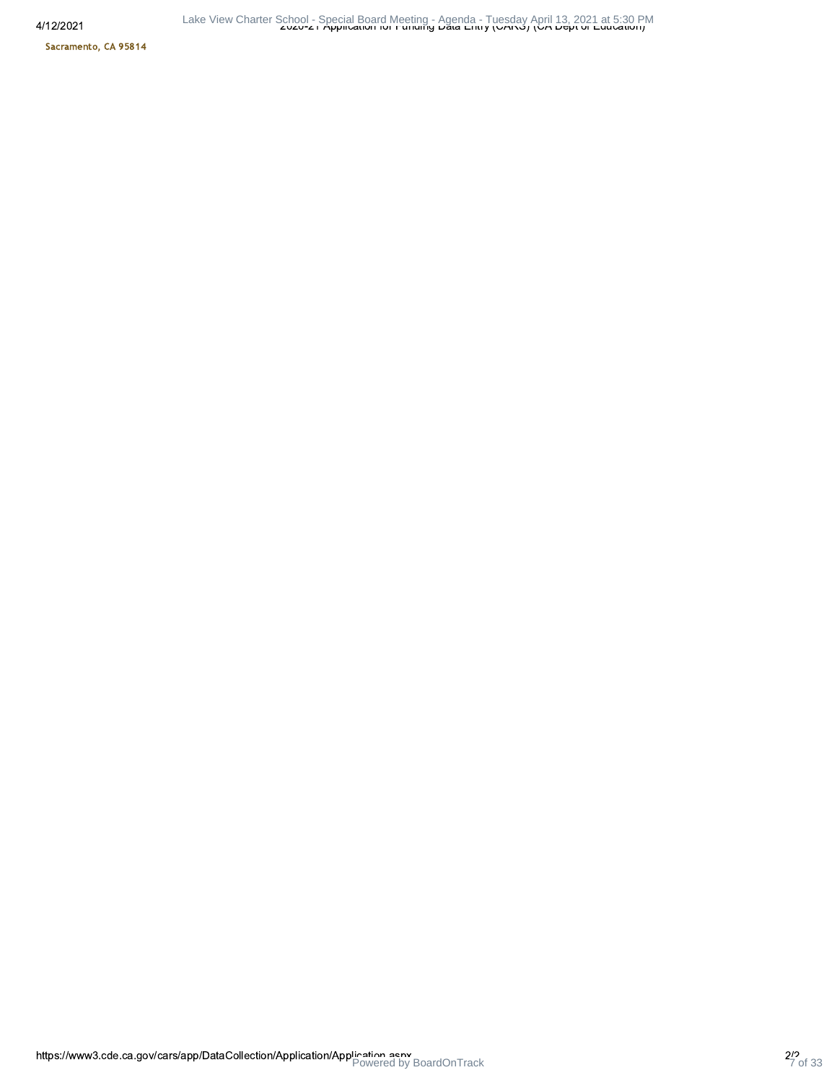4/12/2

Sacramento, CA 95814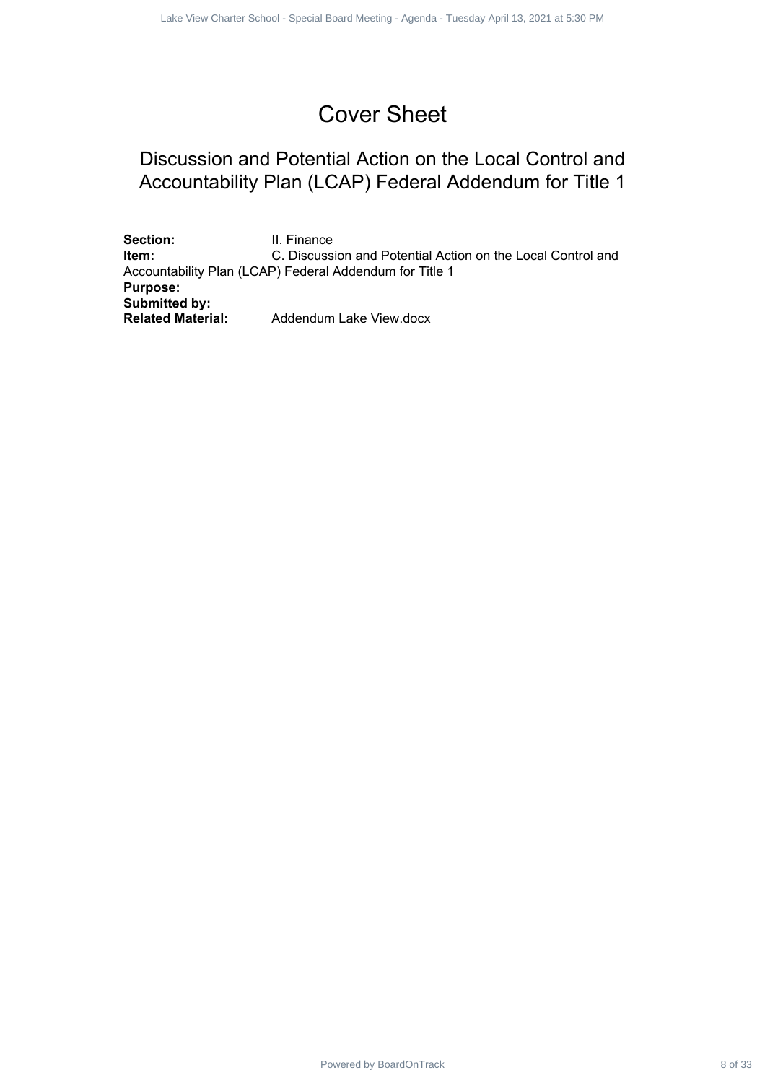# Cover Sheet

### Discussion and Potential Action on the Local Control and Accountability Plan (LCAP) Federal Addendum for Title 1

Section: **II. Finance Item:** C. Discussion and Potential Action on the Local Control and Accountability Plan (LCAP) Federal Addendum for Title 1 **Purpose: Submitted by: Related Material:** Addendum Lake View.docx Powered by Board School - Special Board Doctrines - Agents Charter School - Special Board Control and<br>Power School - Special Board Meeting - Agenda - Tuesday Plan (C.O.Age) Federal Addendation for Title 1<br>- C. Decisions an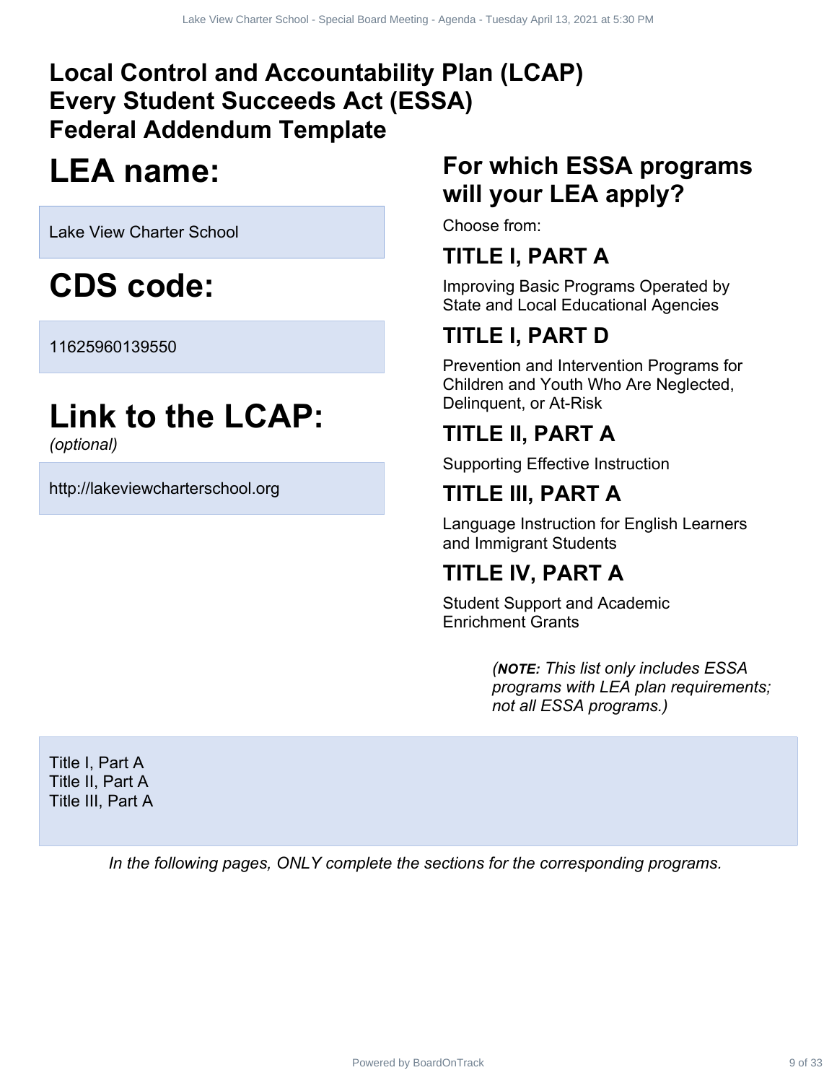# **Local Control and Accountability Plan (LCAP) Every Student Succeeds Act (ESSA) Federal Addendum Template** Power Extract 9 of 33 April 13, 2021 at 5:30 April 13, 2021 at 5:30 April 13, 2021 at 5:30 April 13, 2021 at 5:30 April 13, 2021 at 5:30 April 13, 2021 at 5:30 April 13, 2021 at 5:30 PM and State Properties Charter School

# **LEA name:**

Lake View Charter School

# **CDS code:**

11625960139550

# **Link to the LCAP:**

*(optional)*

http://lakeviewcharterschool.org

# **For which ESSA programs will your LEA apply?**

Choose from:

# **TITLE I, PART A**

Improving Basic Programs Operated by State and Local Educational Agencies

# **TITLE I, PART D**

Prevention and Intervention Programs for Children and Youth Who Are Neglected, Delinquent, or At-Risk

# **TITLE II, PART A**

Supporting Effective Instruction

# **TITLE III, PART A**

Language Instruction for English Learners and Immigrant Students

# **TITLE IV, PART A**

Student Support and Academic Enrichment Grants

> *(NOTE: This list only includes ESSA programs with LEA plan requirements; not all ESSA programs.)*

Title I, Part A Title II, Part A Title III, Part A

*In the following pages, ONLY complete the sections for the corresponding programs.*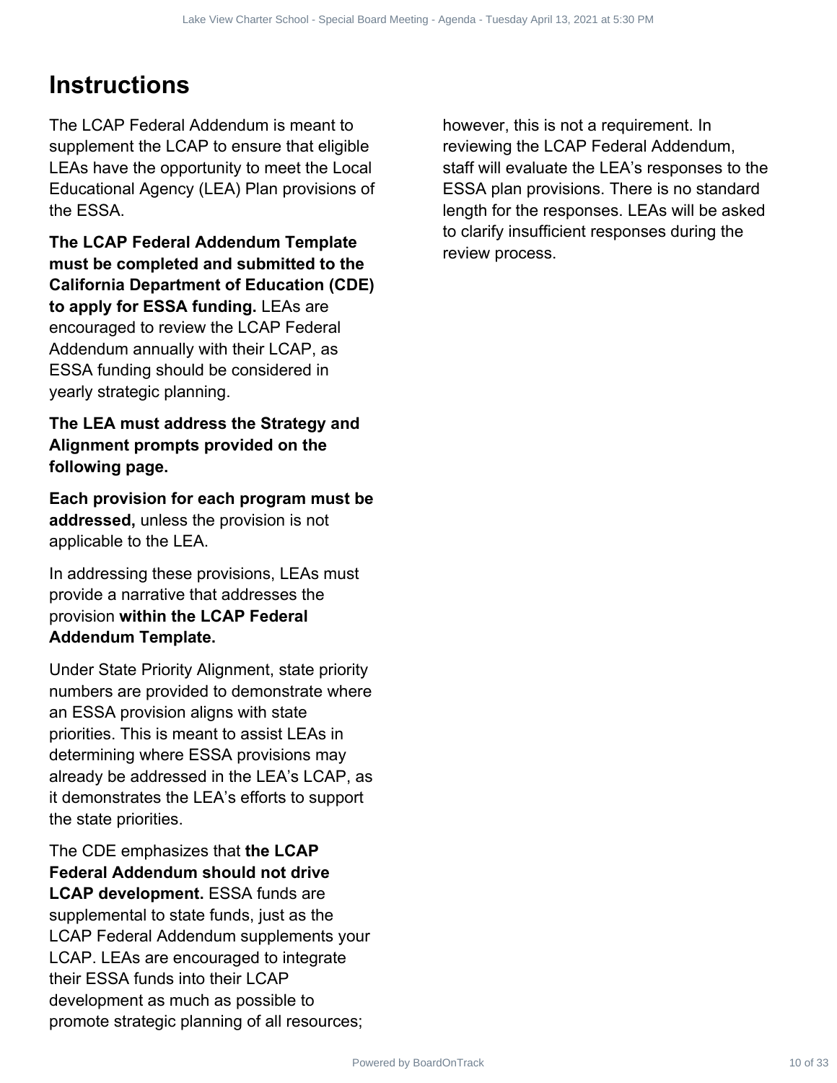# **Instructions**

The LCAP Federal Addendum is meant to supplement the LCAP to ensure that eligible LEAs have the opportunity to meet the Local Educational Agency (LEA) Plan provisions of the ESSA.

**The LCAP Federal Addendum Template must be completed and submitted to the California Department of Education (CDE) to apply for ESSA funding.** LEAs are encouraged to review the LCAP Federal Addendum annually with their LCAP, as ESSA funding should be considered in yearly strategic planning.

### **The LEA must address the Strategy and Alignment prompts provided on the following page.**

**Each provision for each program must be addressed,** unless the provision is not applicable to the LEA.

In addressing these provisions, LEAs must provide a narrative that addresses the provision **within the LCAP Federal Addendum Template.**

Under State Priority Alignment, state priority numbers are provided to demonstrate where an ESSA provision aligns with state priorities. This is meant to assist LEAs in determining where ESSA provisions may already be addressed in the LEA's LCAP, as it demonstrates the LEA's efforts to support the state priorities.

The CDE emphasizes that **the LCAP Federal Addendum should not drive LCAP development.** ESSA funds are supplemental to state funds, just as the LCAP Federal Addendum supplements your LCAP. LEAs are encouraged to integrate their ESSA funds into their LCAP development as much as possible to promote strategic planning of all resources;

however, this is not a requirement. In reviewing the LCAP Federal Addendum, staff will evaluate the LEA's responses to the ESSA plan provisions. There is no standard length for the responses. LEAs will be asked to clarify insufficient responses during the review process. Powered by Charter School - Special Charter Contract 10 of 23 2021 at 3:30 PM and the Charter School control of the Special Board Meeting - Agenda Charter School - Special Meeting - Agenda - Tuesday April 13, 2021 at 5:30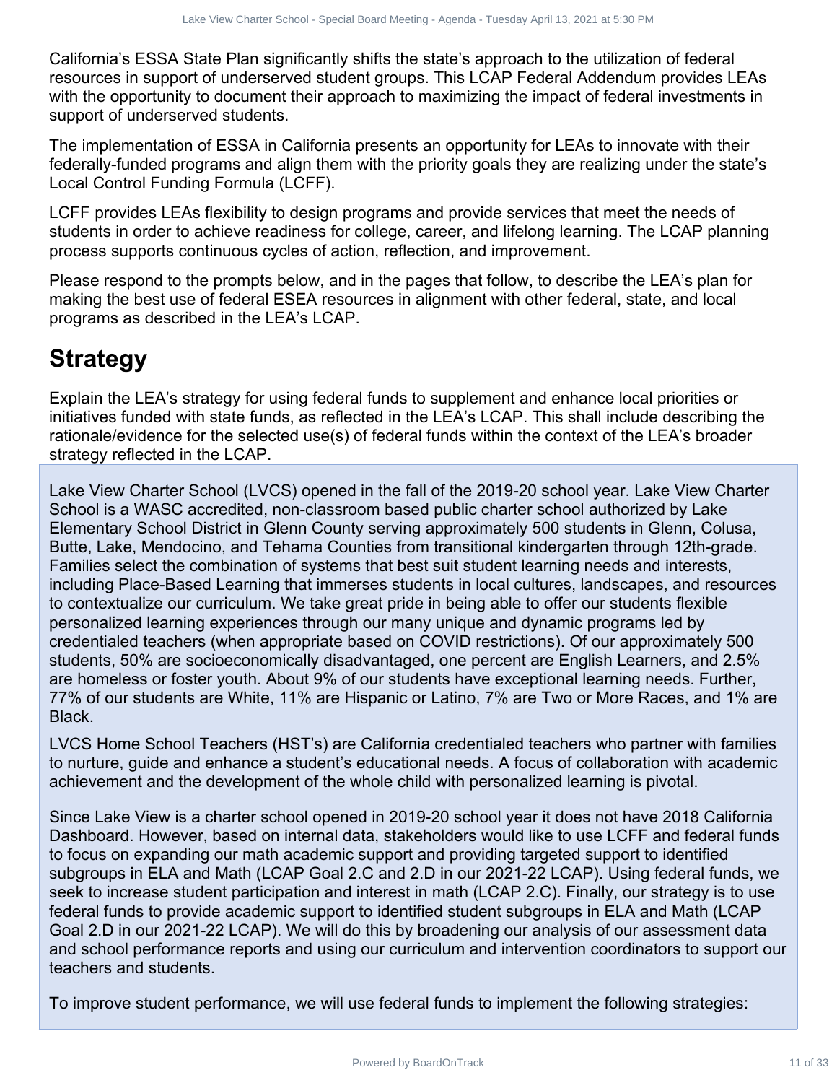California's ESSA State Plan significantly shifts the state's approach to the utilization of federal resources in support of underserved student groups. This LCAP Federal Addendum provides LEAs with the opportunity to document their approach to maximizing the impact of federal investments in support of underserved students.

The implementation of ESSA in California presents an opportunity for LEAs to innovate with their federally-funded programs and align them with the priority goals they are realizing under the state's Local Control Funding Formula (LCFF).

LCFF provides LEAs flexibility to design programs and provide services that meet the needs of students in order to achieve readiness for college, career, and lifelong learning. The LCAP planning process supports continuous cycles of action, reflection, and improvement.

Please respond to the prompts below, and in the pages that follow, to describe the LEA's plan for making the best use of federal ESEA resources in alignment with other federal, state, and local programs as described in the LEA's LCAP.

# **Strategy**

Explain the LEA's strategy for using federal funds to supplement and enhance local priorities or initiatives funded with state funds, as reflected in the LEA's LCAP. This shall include describing the rationale/evidence for the selected use(s) of federal funds within the context of the LEA's broader strategy reflected in the LCAP.

Lake View Charter School (LVCS) opened in the fall of the 2019-20 school year. Lake View Charter School is a WASC accredited, non-classroom based public charter school authorized by Lake Elementary School District in Glenn County serving approximately 500 students in Glenn, Colusa, Butte, Lake, Mendocino, and Tehama Counties from transitional kindergarten through 12th-grade. Families select the combination of systems that best suit student learning needs and interests, including Place-Based Learning that immerses students in local cultures, landscapes, and resources to contextualize our curriculum. We take great pride in being able to offer our students flexible personalized learning experiences through our many unique and dynamic programs led by credentialed teachers (when appropriate based on COVID restrictions). Of our approximately 500 students, 50% are socioeconomically disadvantaged, one percent are English Learners, and 2.5% are homeless or foster youth. About 9% of our students have exceptional learning needs. Further, 77% of our students are White, 11% are Hispanic or Latino, 7% are Two or More Races, and 1% are Black. The School Charter School and the Charter Charter Charter Charter Charter Charter Charter Charter Charter Charter Charter Charter Charter Charter Charter Charter Charter Charter Charter Charter Charter Charter Charter Char

LVCS Home School Teachers (HST's) are California credentialed teachers who partner with families to nurture, guide and enhance a student's educational needs. A focus of collaboration with academic achievement and the development of the whole child with personalized learning is pivotal.

Since Lake View is a charter school opened in 2019-20 school year it does not have 2018 California Dashboard. However, based on internal data, stakeholders would like to use LCFF and federal funds to focus on expanding our math academic support and providing targeted support to identified subgroups in ELA and Math (LCAP Goal 2.C and 2.D in our 2021-22 LCAP). Using federal funds, we seek to increase student participation and interest in math (LCAP 2.C). Finally, our strategy is to use federal funds to provide academic support to identified student subgroups in ELA and Math (LCAP Goal 2.D in our 2021-22 LCAP). We will do this by broadening our analysis of our assessment data and school performance reports and using our curriculum and intervention coordinators to support our teachers and students.

To improve student performance, we will use federal funds to implement the following strategies: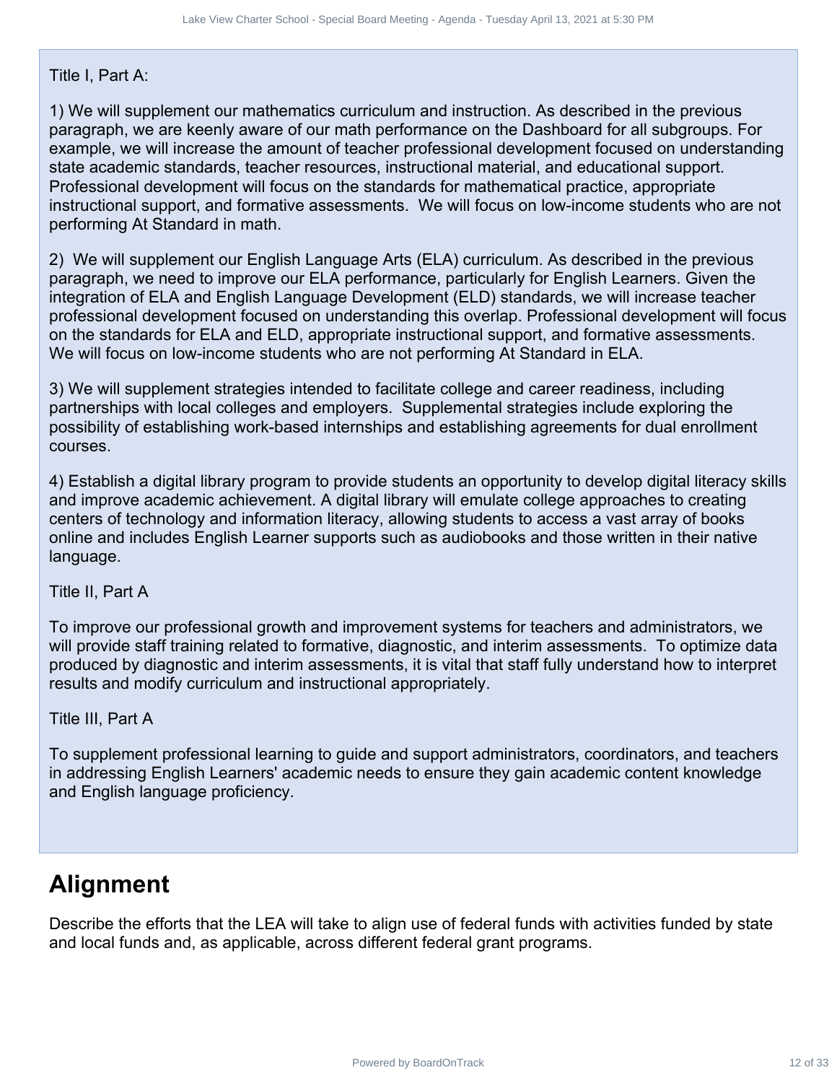### Title I, Part A:

1) We will supplement our mathematics curriculum and instruction. As described in the previous paragraph, we are keenly aware of our math performance on the Dashboard for all subgroups. For example, we will increase the amount of teacher professional development focused on understanding state academic standards, teacher resources, instructional material, and educational support. Professional development will focus on the standards for mathematical practice, appropriate instructional support, and formative assessments. We will focus on low-income students who are not performing At Standard in math. Power Strait Search Contract 12 of 33 Lake View Charter School - Tuesday April 13, 2021 at 5:30 PM (Meeting Drive Charter Contract Board Contract School Charter School - Special Board Charter School - Tuesday April 13, 202

2) We will supplement our English Language Arts (ELA) curriculum. As described in the previous paragraph, we need to improve our ELA performance, particularly for English Learners. Given the integration of ELA and English Language Development (ELD) standards, we will increase teacher professional development focused on understanding this overlap. Professional development will focus on the standards for ELA and ELD, appropriate instructional support, and formative assessments. We will focus on low-income students who are not performing At Standard in ELA.

3) We will supplement strategies intended to facilitate college and career readiness, including partnerships with local colleges and employers. Supplemental strategies include exploring the possibility of establishing work-based internships and establishing agreements for dual enrollment courses.

4) Establish a digital library program to provide students an opportunity to develop digital literacy skills and improve academic achievement. A digital library will emulate college approaches to creating centers of technology and information literacy, allowing students to access a vast array of books online and includes English Learner supports such as audiobooks and those written in their native language.

Title II, Part A

To improve our professional growth and improvement systems for teachers and administrators, we will provide staff training related to formative, diagnostic, and interim assessments. To optimize data produced by diagnostic and interim assessments, it is vital that staff fully understand how to interpret results and modify curriculum and instructional appropriately.

Title III, Part A

To supplement professional learning to guide and support administrators, coordinators, and teachers in addressing English Learners' academic needs to ensure they gain academic content knowledge and English language proficiency.

# **Alignment**

Describe the efforts that the LEA will take to align use of federal funds with activities funded by state and local funds and, as applicable, across different federal grant programs.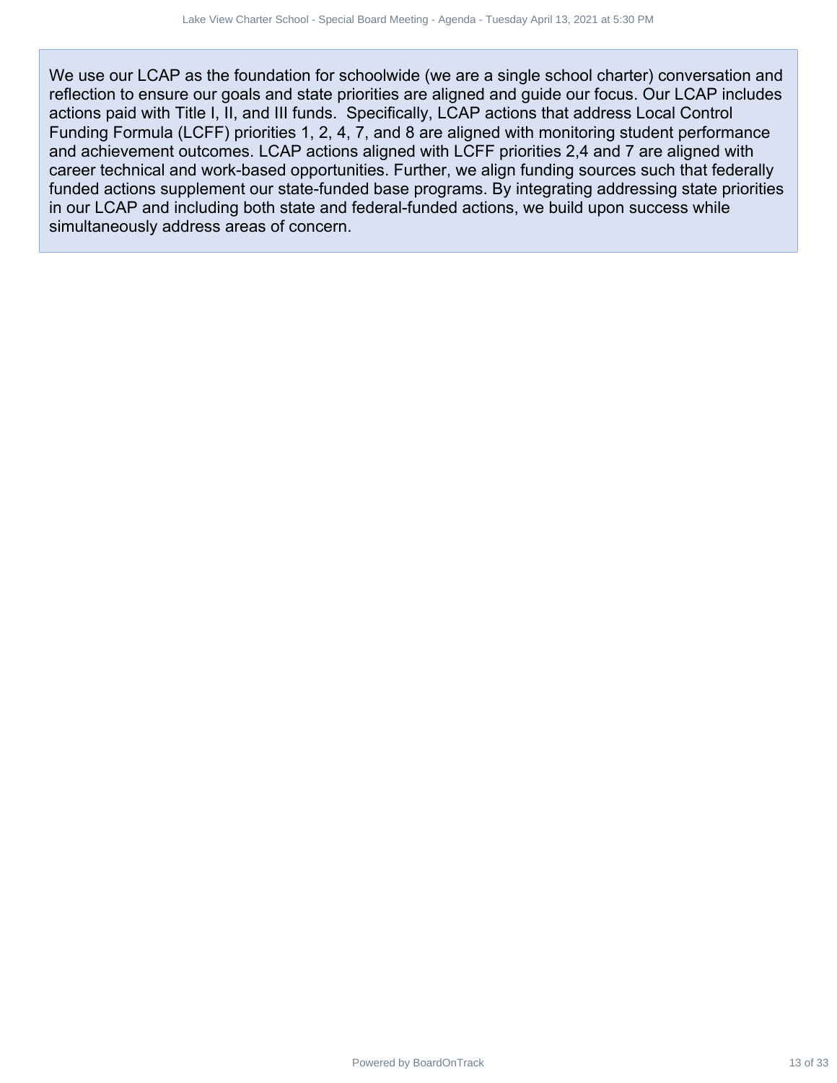We use our LCAP as the foundation for schoolwide (we are a single school charter) conversation and reflection to ensure our goals and state priorities are aligned and guide our focus. Our LCAP includes actions paid with Title I, II, and III funds. Specifically, LCAP actions that address Local Control Funding Formula (LCFF) priorities 1, 2, 4, 7, and 8 are aligned with monitoring student performance and achievement outcomes. LCAP actions aligned with LCFF priorities 2,4 and 7 are aligned with career technical and work-based opportunities. Further, we align funding sources such that federally funded actions supplement our state-funded base programs. By integrating addressing state priorities in our LCAP and including both state and federal-funded actions, we build upon success while simultaneously address areas of concern. Me Cowe Share Search boardonts of 33 April 13, 2021 at 5:30 PM and as the four-operation and<br>as the four-operation for schoolwide (we are as any along lead bool of that eight and (LCFF) priorides 1, 2, 4, 7, and 18 are ali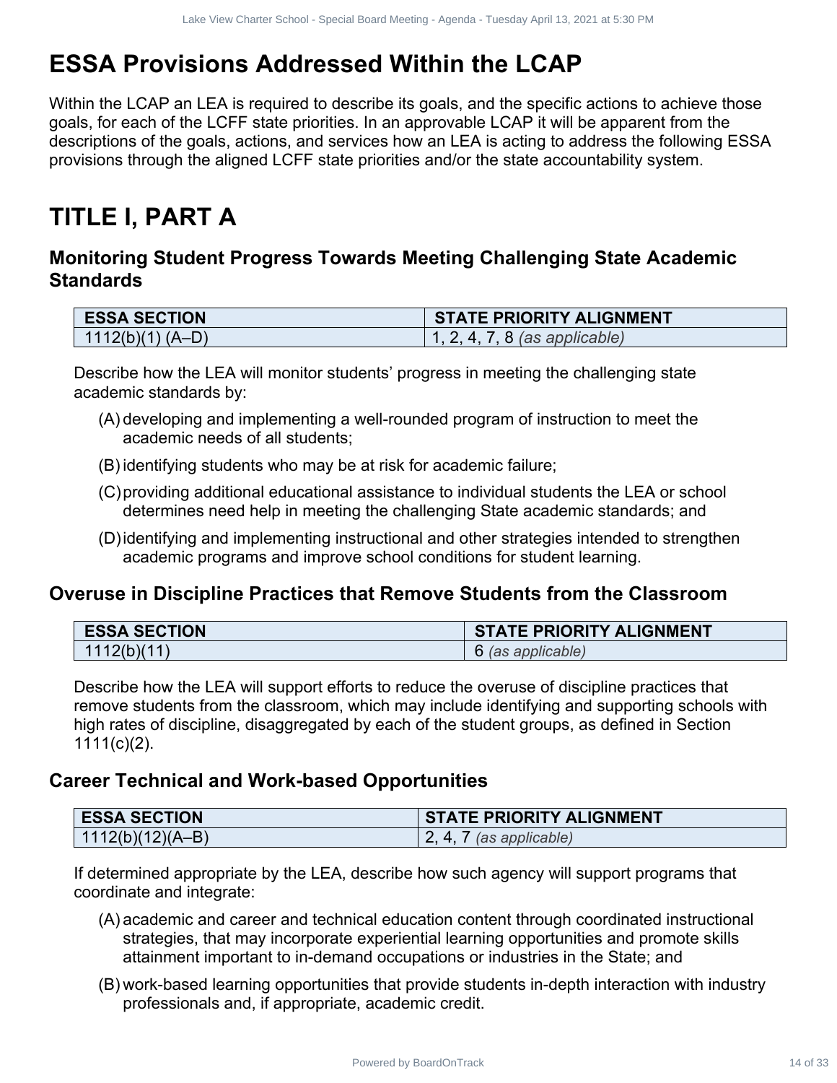# **ESSA Provisions Addressed Within the LCAP**

Within the LCAP an LEA is required to describe its goals, and the specific actions to achieve those goals, for each of the LCFF state priorities. In an approvable LCAP it will be apparent from the descriptions of the goals, actions, and services how an LEA is acting to address the following ESSA provisions through the aligned LCFF state priorities and/or the state accountability system. Power Stars Andreas 14 of 2021 at 14 of 33 David Charter School Charter School Charter School Charter School Charter School and the Charter School and the School - Special Board Meeting Challenging State Academic<br>
Power Sc

# **TITLE I, PART A**

### **Monitoring Student Progress Towards Meeting Challenging State Academic Standards**

| <b>ESSA SECTION</b> | <b>STATE PRIORITY ALIGNMENT</b> |
|---------------------|---------------------------------|
| $1112(b)(1) (A-D)$  | 1, 2, 4, 7, 8 (as applicable)   |

Describe how the LEA will monitor students' progress in meeting the challenging state academic standards by:

- (A) developing and implementing a well-rounded program of instruction to meet the academic needs of all students;
- (B) identifying students who may be at risk for academic failure;
- (C)providing additional educational assistance to individual students the LEA or school determines need help in meeting the challenging State academic standards; and
- (D)identifying and implementing instructional and other strategies intended to strengthen academic programs and improve school conditions for student learning.

### **Overuse in Discipline Practices that Remove Students from the Classroom**

| <b>ESSA SECTION</b> | <b>STATE PRIORITY ALIGNMENT</b> |
|---------------------|---------------------------------|
| 1112(b)(11)         | 6 (as applicable)               |

Describe how the LEA will support efforts to reduce the overuse of discipline practices that remove students from the classroom, which may include identifying and supporting schools with high rates of discipline, disaggregated by each of the student groups, as defined in Section  $1111(c)(2)$ .

### **Career Technical and Work-based Opportunities**

| <b>ESSA SECTION</b>            | <b>STATE PRIORITY ALIGNMENT</b> |
|--------------------------------|---------------------------------|
| $\mid$ 1112(b)(12)(A–B) $\mid$ | (as applicable)                 |

If determined appropriate by the LEA, describe how such agency will support programs that coordinate and integrate:

- (A) academic and career and technical education content through coordinated instructional strategies, that may incorporate experiential learning opportunities and promote skills attainment important to in-demand occupations or industries in the State; and
- (B) work-based learning opportunities that provide students in-depth interaction with industry professionals and, if appropriate, academic credit.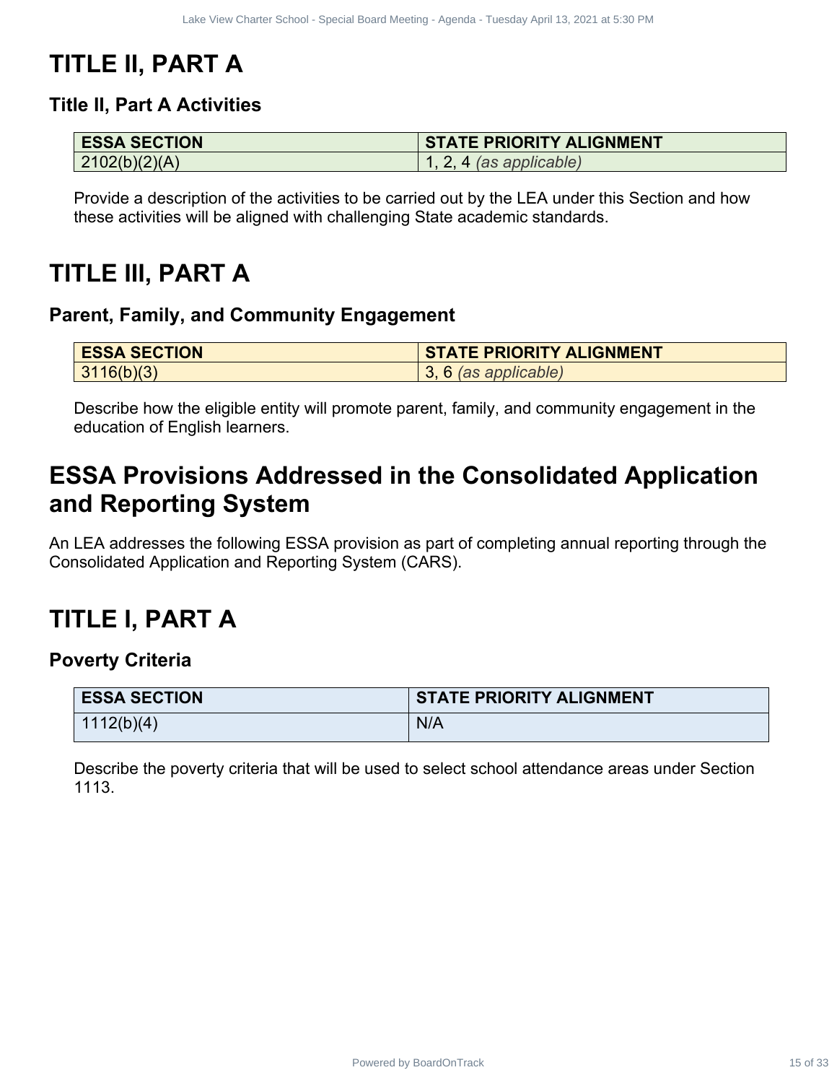# **TITLE II, PART A**

### **Title II, Part A Activities**

| <b>ESSA SECTION</b> | <b>STATE PRIORITY ALIGNMENT</b> |
|---------------------|---------------------------------|
| 2102(b)(2)(A)       | $\vert$ 1, 2, 4 (as applicable) |

# **TITLE III, PART A**

### **Parent, Family, and Community Engagement**

| <b>ESSA SECTION</b> | <b>STATE PRIORITY ALIGNMENT</b> |
|---------------------|---------------------------------|
| 3116(b)(3)          | $(3, 6$ (as applicable)         |

# **ESSA Provisions Addressed in the Consolidated Application and Reporting System**

# **TITLE I, PART A**

### **Poverty Criteria**

| <b>ESSA SECTION</b>                                                                                                         | <b>STATE PRIORITY ALIGNMENT</b>                                                                                                                                                |
|-----------------------------------------------------------------------------------------------------------------------------|--------------------------------------------------------------------------------------------------------------------------------------------------------------------------------|
| 2102(b)(2)(A)                                                                                                               | $1, 2, 4$ (as applicable)                                                                                                                                                      |
|                                                                                                                             | Provide a description of the activities to be carried out by the LEA under this Section and how<br>these activities will be aligned with challenging State academic standards. |
| TLE III, PART A<br>rent, Family, and Community Engagement                                                                   |                                                                                                                                                                                |
| <b>ESSA SECTION</b>                                                                                                         | <b>STATE PRIORITY ALIGNMENT</b>                                                                                                                                                |
| 3116(b)(3)                                                                                                                  | 3, 6 (as applicable)                                                                                                                                                           |
|                                                                                                                             | LEA addresses the following ESSA provision as part of completing annual reporting through the                                                                                  |
|                                                                                                                             |                                                                                                                                                                                |
| nsolidated Application and Reporting System (CARS).<br>TLE I. PART A<br>verty Criteria<br><b>ESSA SECTION</b><br>1112(b)(4) | <b>STATE PRIORITY ALIGNMENT</b><br>N/A                                                                                                                                         |
| 1113.                                                                                                                       |                                                                                                                                                                                |
|                                                                                                                             | Describe the poverty criteria that will be used to select school attendance areas under Section                                                                                |
|                                                                                                                             |                                                                                                                                                                                |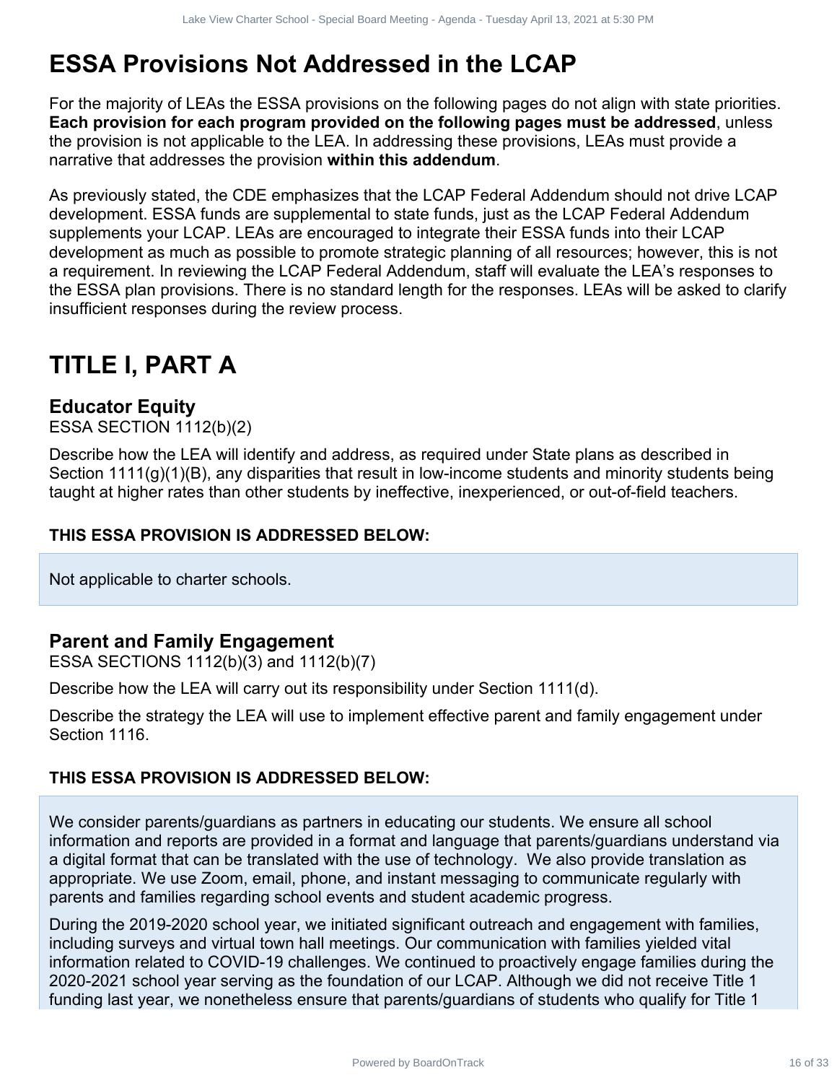# **ESSA Provisions Not Addressed in the LCAP**

For the majority of LEAs the ESSA provisions on the following pages do not align with state priorities. **Each provision for each program provided on the following pages must be addressed**, unless the provision is not applicable to the LEA. In addressing these provisions, LEAs must provide a narrative that addresses the provision **within this addendum**.

As previously stated, the CDE emphasizes that the LCAP Federal Addendum should not drive LCAP development. ESSA funds are supplemental to state funds, just as the LCAP Federal Addendum supplements your LCAP. LEAs are encouraged to integrate their ESSA funds into their LCAP development as much as possible to promote strategic planning of all resources; however, this is not a requirement. In reviewing the LCAP Federal Addendum, staff will evaluate the LEA's responses to the ESSA plan provisions. There is no standard length for the responses. LEAs will be asked to clarify insufficient responses during the review process. Power Start And Track 16 of 2021 at the CAP and the LCAP - Minimal School - Tuesday and the CAP and the CAP and the CAP rederated by the EUA in addressing these propes must be addressed, unless applicable to the EUA in add

# **TITLE I, PART A**

### **Educator Equity**

ESSA SECTION 1112(b)(2)

Describe how the LEA will identify and address, as required under State plans as described in Section 1111(g)(1)(B), any disparities that result in low-income students and minority students being taught at higher rates than other students by ineffective, inexperienced, or out-of-field teachers.

### **THIS ESSA PROVISION IS ADDRESSED BELOW:**

Not applicable to charter schools.

### **Parent and Family Engagement**

ESSA SECTIONS 1112(b)(3) and 1112(b)(7)

Describe how the LEA will carry out its responsibility under Section 1111(d).

Describe the strategy the LEA will use to implement effective parent and family engagement under Section 1116.

### **THIS ESSA PROVISION IS ADDRESSED BELOW:**

We consider parents/guardians as partners in educating our students. We ensure all school information and reports are provided in a format and language that parents/guardians understand via a digital format that can be translated with the use of technology. We also provide translation as appropriate. We use Zoom, email, phone, and instant messaging to communicate regularly with parents and families regarding school events and student academic progress.

During the 2019-2020 school year, we initiated significant outreach and engagement with families, including surveys and virtual town hall meetings. Our communication with families yielded vital information related to COVID-19 challenges. We continued to proactively engage families during the 2020-2021 school year serving as the foundation of our LCAP. Although we did not receive Title 1 funding last year, we nonetheless ensure that parents/guardians of students who qualify for Title 1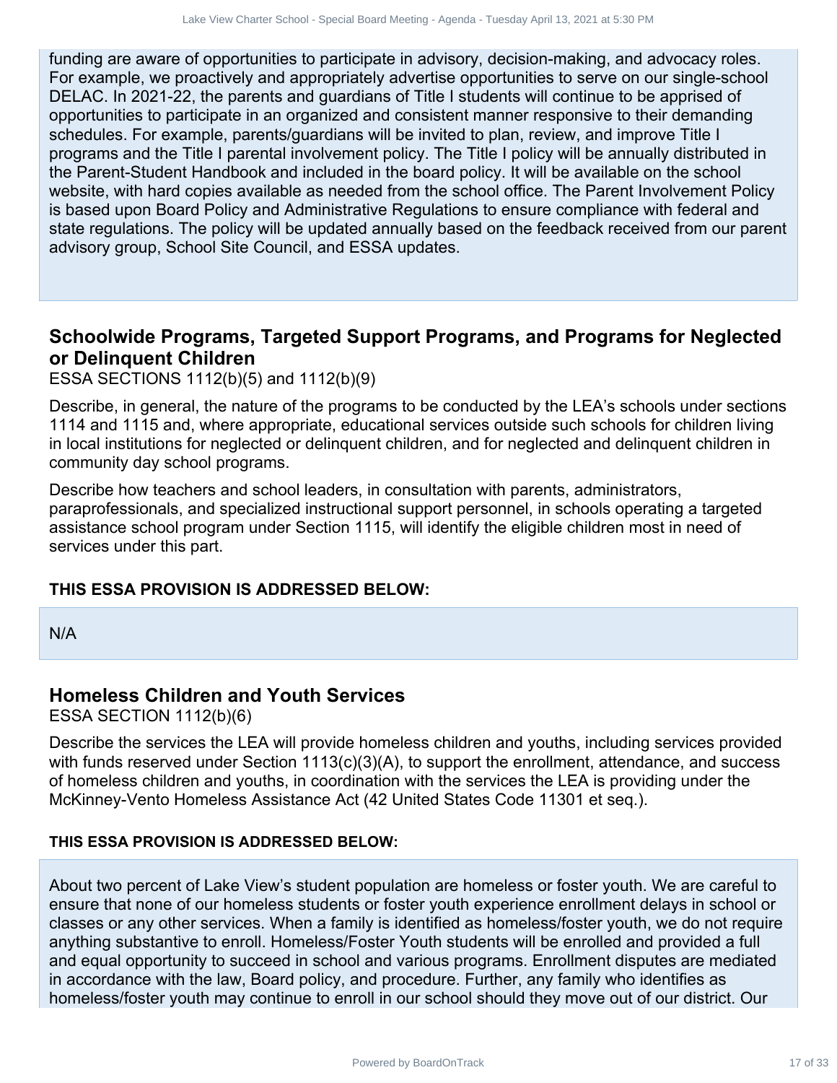funding are aware of opportunities to participate in advisory, decision-making, and advocacy roles. For example, we proactively and appropriately advertise opportunities to serve on our single-school DELAC. In 2021-22, the parents and guardians of Title I students will continue to be apprised of opportunities to participate in an organized and consistent manner responsive to their demanding schedules. For example, parents/guardians will be invited to plan, review, and improve Title I programs and the Title I parental involvement policy. The Title I policy will be annually distributed in the Parent-Student Handbook and included in the board policy. It will be available on the school website, with hard copies available as needed from the school office. The Parent Involvement Policy is based upon Board Policy and Administrative Regulations to ensure compliance with federal and state regulations. The policy will be updated annually based on the feedback received from our parent advisory group, School Site Council, and ESSA updates. As Construction of the power of the station of the stationary stationary and adveancy roles.<br>
The parents and partidinary diversifications will continue to be appines and adveancy roles.<br>
The parents and partidinary divers

### **Schoolwide Programs, Targeted Support Programs, and Programs for Neglected or Delinquent Children**

ESSA SECTIONS 1112(b)(5) and 1112(b)(9)

Describe, in general, the nature of the programs to be conducted by the LEA's schools under sections 1114 and 1115 and, where appropriate, educational services outside such schools for children living in local institutions for neglected or delinquent children, and for neglected and delinquent children in community day school programs.

Describe how teachers and school leaders, in consultation with parents, administrators, paraprofessionals, and specialized instructional support personnel, in schools operating a targeted assistance school program under Section 1115, will identify the eligible children most in need of services under this part.

### **THIS ESSA PROVISION IS ADDRESSED BELOW:**

N/A

### **Homeless Children and Youth Services**

ESSA SECTION 1112(b)(6)

Describe the services the LEA will provide homeless children and youths, including services provided with funds reserved under Section 1113(c)(3)(A), to support the enrollment, attendance, and success of homeless children and youths, in coordination with the services the LEA is providing under the McKinney-Vento Homeless Assistance Act (42 United States Code 11301 et seq.).

### **THIS ESSA PROVISION IS ADDRESSED BELOW:**

About two percent of Lake View's student population are homeless or foster youth. We are careful to ensure that none of our homeless students or foster youth experience enrollment delays in school or classes or any other services. When a family is identified as homeless/foster youth, we do not require anything substantive to enroll. Homeless/Foster Youth students will be enrolled and provided a full and equal opportunity to succeed in school and various programs. Enrollment disputes are mediated in accordance with the law, Board policy, and procedure. Further, any family who identifies as homeless/foster youth may continue to enroll in our school should they move out of our district. Our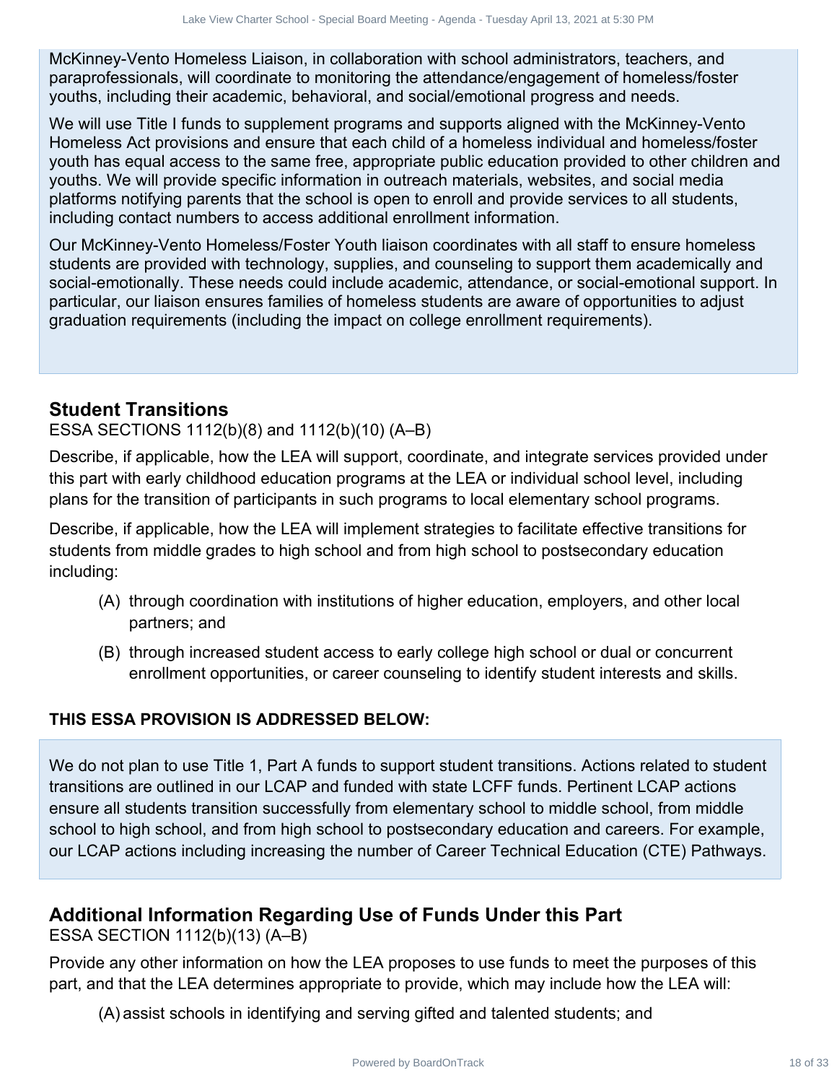McKinney-Vento Homeless Liaison, in collaboration with school administrators, teachers, and paraprofessionals, will coordinate to monitoring the attendance/engagement of homeless/foster youths, including their academic, behavioral, and social/emotional progress and needs.

We will use Title I funds to supplement programs and supports aligned with the McKinney-Vento Homeless Act provisions and ensure that each child of a homeless individual and homeless/foster youth has equal access to the same free, appropriate public education provided to other children and youths. We will provide specific information in outreach materials, websites, and social media platforms notifying parents that the school is open to enroll and provide services to all students, including contact numbers to access additional enrollment information. Hower Street the modern the street in the modern of the street in the street of 30 MM of controllent and the modern of 33 David Contract 18 of 33 Care of 33 Lake View Charter School - Special Board April 13, 2021 at 5:30 C

Our McKinney-Vento Homeless/Foster Youth liaison coordinates with all staff to ensure homeless students are provided with technology, supplies, and counseling to support them academically and social-emotionally. These needs could include academic, attendance, or social-emotional support. In particular, our liaison ensures families of homeless students are aware of opportunities to adjust graduation requirements (including the impact on college enrollment requirements).

### **Student Transitions**

### ESSA SECTIONS 1112(b)(8) and 1112(b)(10) (A–B)

Describe, if applicable, how the LEA will support, coordinate, and integrate services provided under this part with early childhood education programs at the LEA or individual school level, including plans for the transition of participants in such programs to local elementary school programs.

Describe, if applicable, how the LEA will implement strategies to facilitate effective transitions for students from middle grades to high school and from high school to postsecondary education including:

- (A) through coordination with institutions of higher education, employers, and other local partners; and
- (B) through increased student access to early college high school or dual or concurrent enrollment opportunities, or career counseling to identify student interests and skills.

### **THIS ESSA PROVISION IS ADDRESSED BELOW:**

We do not plan to use Title 1, Part A funds to support student transitions. Actions related to student transitions are outlined in our LCAP and funded with state LCFF funds. Pertinent LCAP actions ensure all students transition successfully from elementary school to middle school, from middle school to high school, and from high school to postsecondary education and careers. For example, our LCAP actions including increasing the number of Career Technical Education (CTE) Pathways.

### **Additional Information Regarding Use of Funds Under this Part**

ESSA SECTION 1112(b)(13) (A–B)

Provide any other information on how the LEA proposes to use funds to meet the purposes of this part, and that the LEA determines appropriate to provide, which may include how the LEA will:

(A) assist schools in identifying and serving gifted and talented students; and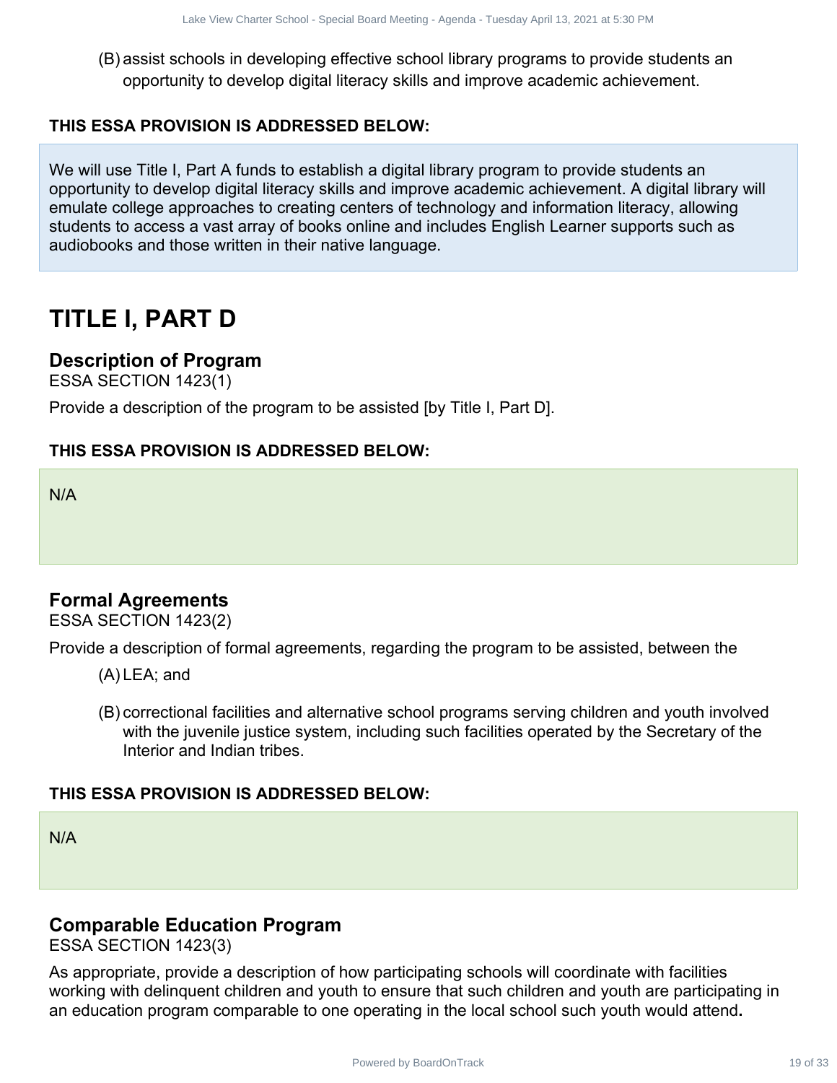(B) assist schools in developing effective school library programs to provide students an opportunity to develop digital literacy skills and improve academic achievement.

### **THIS ESSA PROVISION IS ADDRESSED BELOW:**

We will use Title I, Part A funds to establish a digital library program to provide students an opportunity to develop digital literacy skills and improve academic achievement. A digital library will emulate college approaches to creating centers of technology and information literacy, allowing students to access a vast array of books online and includes English Learner supports such as audiobooks and those written in their native language. More Clares Sheet Seven benchmings Aprilia Sheet School - Board School Board Charter School Board in developing effective school library program to provide students an injour of the propriate the students and injour and th

# **TITLE I, PART D**

### **Description of Program**

ESSA SECTION 1423(1)

Provide a description of the program to be assisted [by Title I, Part D].

### **THIS ESSA PROVISION IS ADDRESSED BELOW:**

N/A

### **Formal Agreements**

ESSA SECTION 1423(2)

Provide a description of formal agreements, regarding the program to be assisted, between the

- (A) LEA; and
- (B) correctional facilities and alternative school programs serving children and youth involved with the juvenile justice system, including such facilities operated by the Secretary of the Interior and Indian tribes.

### **THIS ESSA PROVISION IS ADDRESSED BELOW:**

N/A

### **Comparable Education Program**

ESSA SECTION 1423(3)

As appropriate, provide a description of how participating schools will coordinate with facilities working with delinquent children and youth to ensure that such children and youth are participating in an education program comparable to one operating in the local school such youth would attend**.**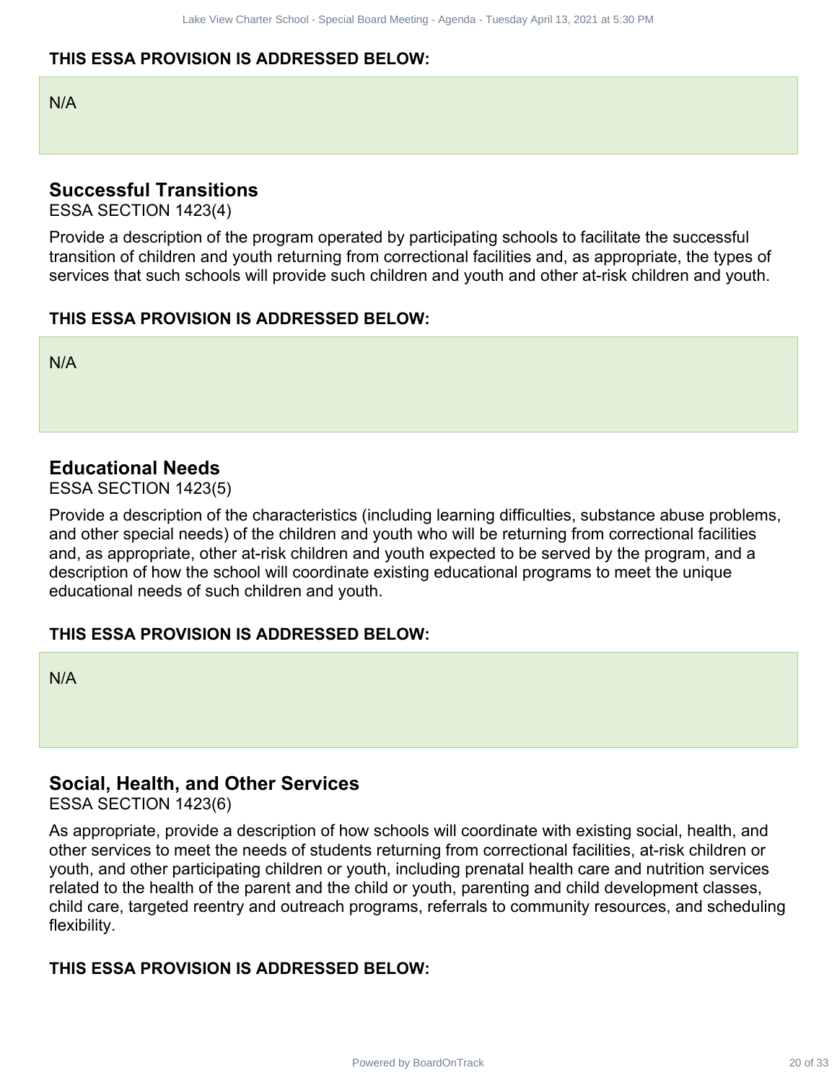### **THIS ESSA PROVISION IS ADDRESSED BELOW:**

N/A

### **Successful Transitions**

ESSA SECTION 1423(4)

Provide a description of the program operated by participating schools to facilitate the successful transition of children and youth returning from correctional facilities and, as appropriate, the types of services that such schools will provide such children and youth and other at-risk children and youth.

### **THIS ESSA PROVISION IS ADDRESSED BELOW:**

N/A

### **Educational Needs**

ESSA SECTION 1423(5)

Provide a description of the characteristics (including learning difficulties, substance abuse problems, and other special needs) of the children and youth who will be returning from correctional facilities and, as appropriate, other at-risk children and youth expected to be served by the program, and a description of how the school will coordinate existing educational programs to meet the unique educational needs of such children and youth.

### **THIS ESSA PROVISION IS ADDRESSED BELOW:**

N/A

### **Social, Health, and Other Services**

ESSA SECTION 1423(6)

As appropriate, provide a description of how schools will coordinate with existing social, health, and other services to meet the needs of students returning from correctional facilities, at-risk children or youth, and other participating children or youth, including prenatal health care and nutrition services related to the health of the parent and the child or youth, parenting and child development classes, child care, targeted reentry and outreach programs, referrals to community resources, and scheduling flexibility. Powered by Board Charter Contract 20 of 33 PM Charter School - Special Board Charter SCHOTRIST (SCALE ASSAM)<br>
Powered by Board Track 20 of 33 Lacked View Charter School - Special Board Meeting - Agenda - Meeting approximat

### **THIS ESSA PROVISION IS ADDRESSED BELOW:**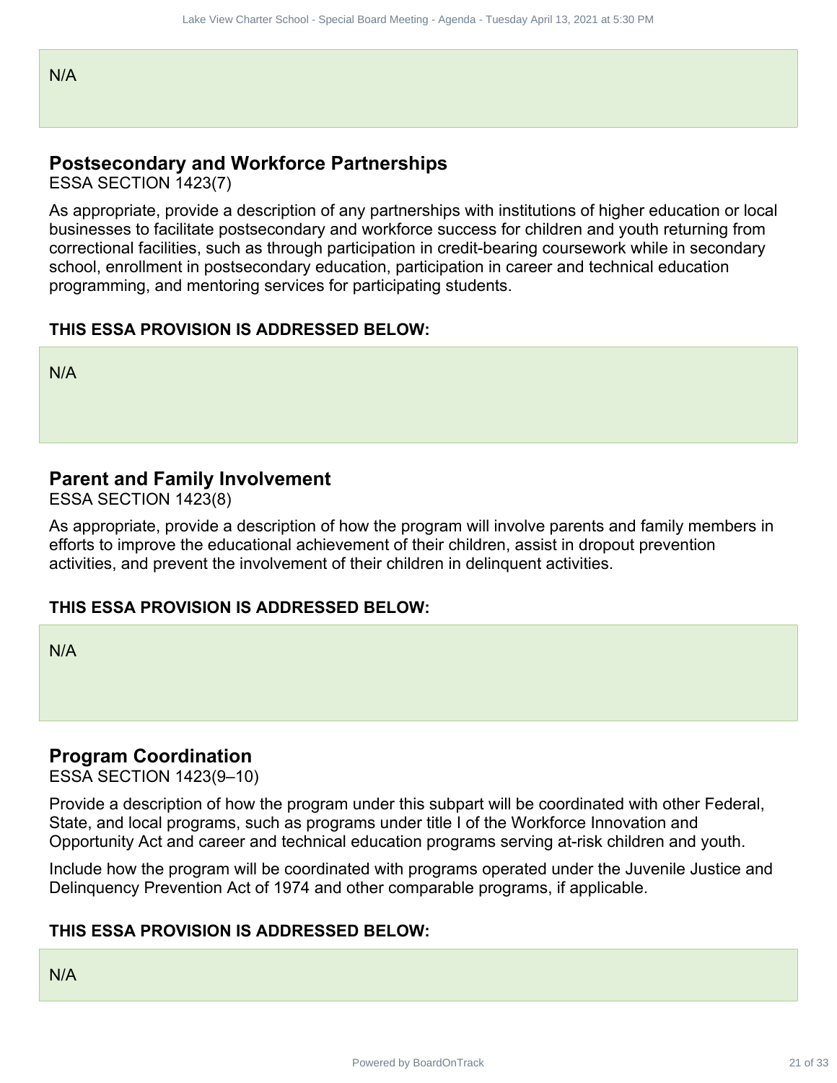### **Postsecondary and Workforce Partnerships**

ESSA SECTION 1423(7)

As appropriate, provide a description of any partnerships with institutions of higher education or local businesses to facilitate postsecondary and workforce success for children and youth returning from correctional facilities, such as through participation in credit-bearing coursework while in secondary school, enrollment in postsecondary education, participation in career and technical education programming, and mentoring services for participating students. Movember of 21 of 33 Lake View Charter School Charter School - Special Description of any particular<br>oxylige a description of any partnerships<br>assume that the control of any partnerships<br>that the description of any partner

### **THIS ESSA PROVISION IS ADDRESSED BELOW:**

N/A

### **Parent and Family Involvement**

ESSA SECTION 1423(8)

As appropriate, provide a description of how the program will involve parents and family members in efforts to improve the educational achievement of their children, assist in dropout prevention activities, and prevent the involvement of their children in delinquent activities.

### **THIS ESSA PROVISION IS ADDRESSED BELOW:**

N/A

### **Program Coordination**

ESSA SECTION 1423(9–10)

Provide a description of how the program under this subpart will be coordinated with other Federal, State, and local programs, such as programs under title I of the Workforce Innovation and Opportunity Act and career and technical education programs serving at-risk children and youth.

Include how the program will be coordinated with programs operated under the Juvenile Justice and Delinquency Prevention Act of 1974 and other comparable programs, if applicable.

### **THIS ESSA PROVISION IS ADDRESSED BELOW:**

N/A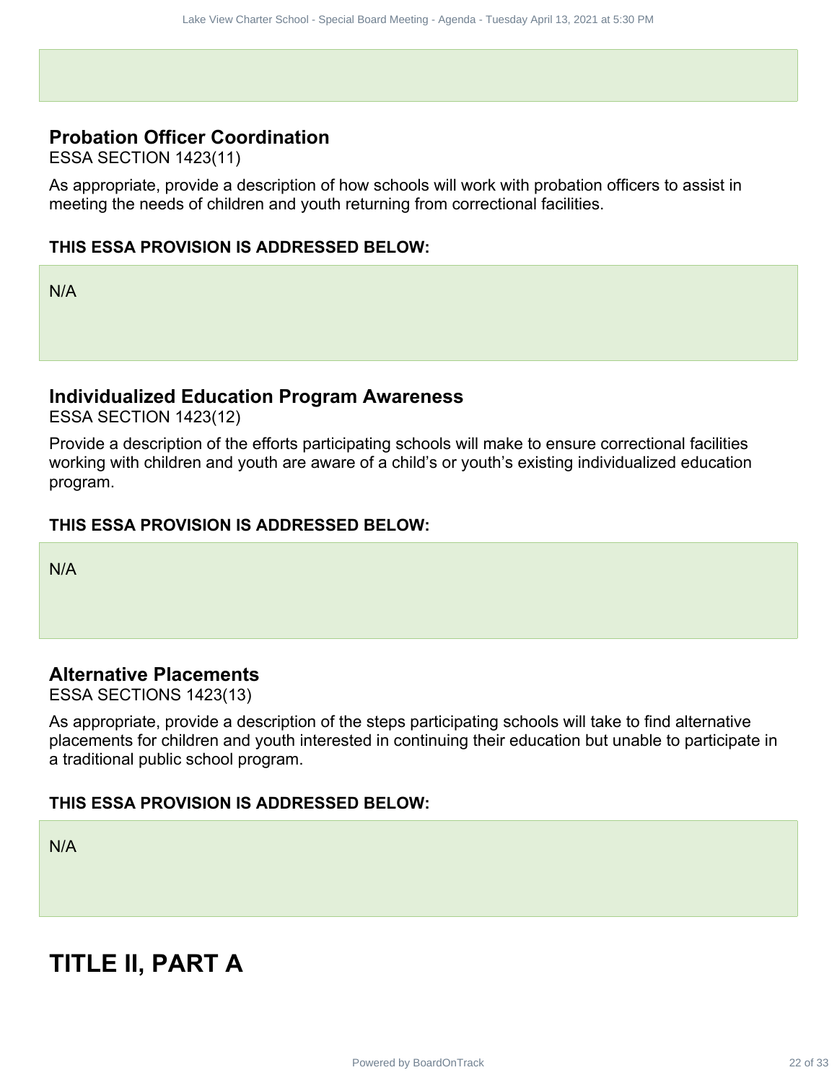### **Probation Officer Coordination**

ESSA SECTION 1423(11)

As appropriate, provide a description of how schools will work with probation officers to assist in meeting the needs of children and youth returning from correctional facilities.

### **THIS ESSA PROVISION IS ADDRESSED BELOW:**

N/A

### **Individualized Education Program Awareness**

ESSA SECTION 1423(12)

Provide a description of the efforts participating schools will make to ensure correctional facilities working with children and youth are aware of a child's or youth's existing individualized education program.

### **THIS ESSA PROVISION IS ADDRESSED BELOW:**

N/A

### **Alternative Placements**

ESSA SECTIONS 1423(13)

As appropriate, provide a description of the steps participating schools will take to find alternative placements for children and youth interested in continuing their education but unable to participate in a traditional public school program. Powered by BoardOnTrack 22 of 33 David Charter School - Special Charter School - Special Charter School - Special Board Meeting - Agenda - Special Board Meeting - Agenda - Meeting of Decision of The Charter School - Specia

### **THIS ESSA PROVISION IS ADDRESSED BELOW:**

N/A

# **TITLE II, PART A**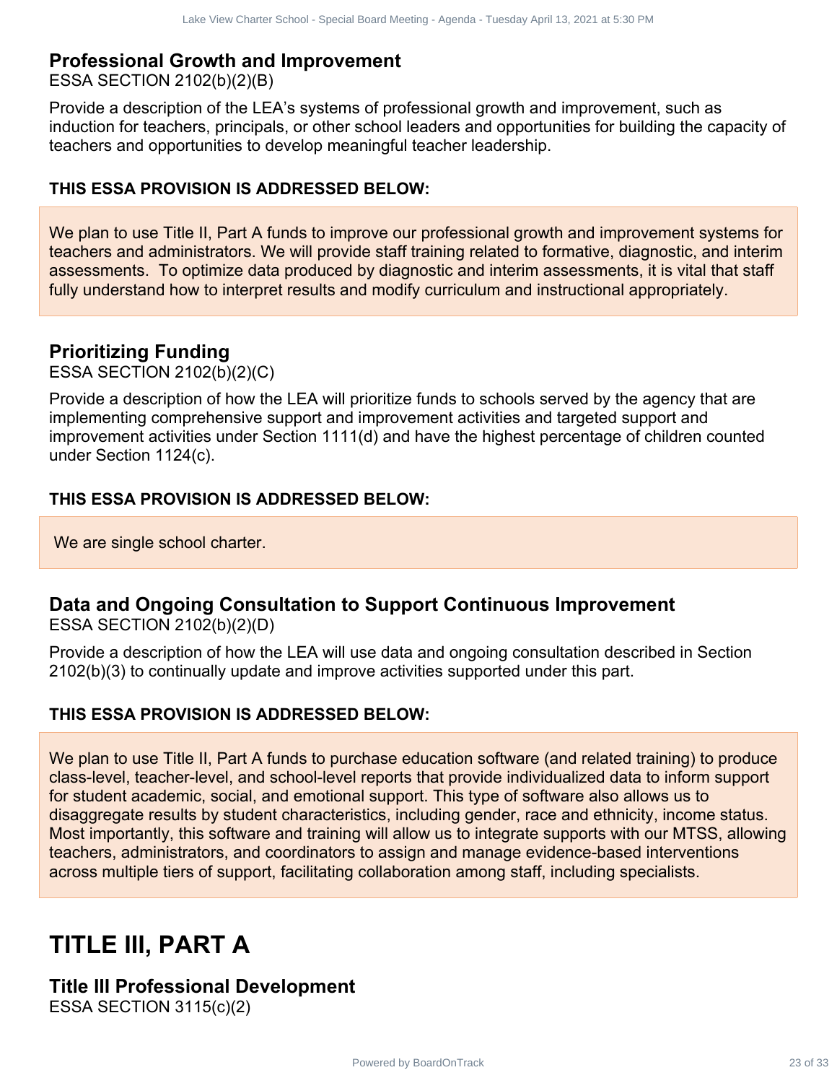### **Professional Growth and Improvement**

ESSA SECTION 2102(b)(2)(B)

Provide a description of the LEA's systems of professional growth and improvement, such as induction for teachers, principals, or other school leaders and opportunities for building the capacity of teachers and opportunities to develop meaningful teacher leadership.

### **THIS ESSA PROVISION IS ADDRESSED BELOW:**

We plan to use Title II, Part A funds to improve our professional growth and improvement systems for teachers and administrators. We will provide staff training related to formative, diagnostic, and interim assessments. To optimize data produced by diagnostic and interim assessments, it is vital that staff fully understand how to interpret results and modify curriculum and instructional appropriately.

### **Prioritizing Funding**

ESSA SECTION 2102(b)(2)(C)

Provide a description of how the LEA will prioritize funds to schools served by the agency that are implementing comprehensive support and improvement activities and targeted support and improvement activities under Section 1111(d) and have the highest percentage of children counted under Section 1124(c).

### **THIS ESSA PROVISION IS ADDRESSED BELOW:**

We are single school charter.

### **Data and Ongoing Consultation to Support Continuous Improvement**

ESSA SECTION 2102(b)(2)(D)

Provide a description of how the LEA will use data and ongoing consultation described in Section 2102(b)(3) to continually update and improve activities supported under this part.

### **THIS ESSA PROVISION IS ADDRESSED BELOW:**

We plan to use Title II, Part A funds to purchase education software (and related training) to produce class-level, teacher-level, and school-level reports that provide individualized data to inform support for student academic, social, and emotional support. This type of software also allows us to disaggregate results by student characteristics, including gender, race and ethnicity, income status. Most importantly, this software and training will allow us to integrate supports with our MTSS, allowing teachers, administrators, and coordinators to assign and manage evidence-based interventions across multiple tiers of support, facilitating collaboration among staff, including specialists. Powered by Board State Charter Charter Charter Charter Charter School of the EEA systems of providing and improvement, such as<br>an such and improvement and the EN systems of 23 Australia Board Meeting - Tuesday April 2021 a

# **TITLE III, PART A**

## **Title III Professional Development**

ESSA SECTION 3115(c)(2)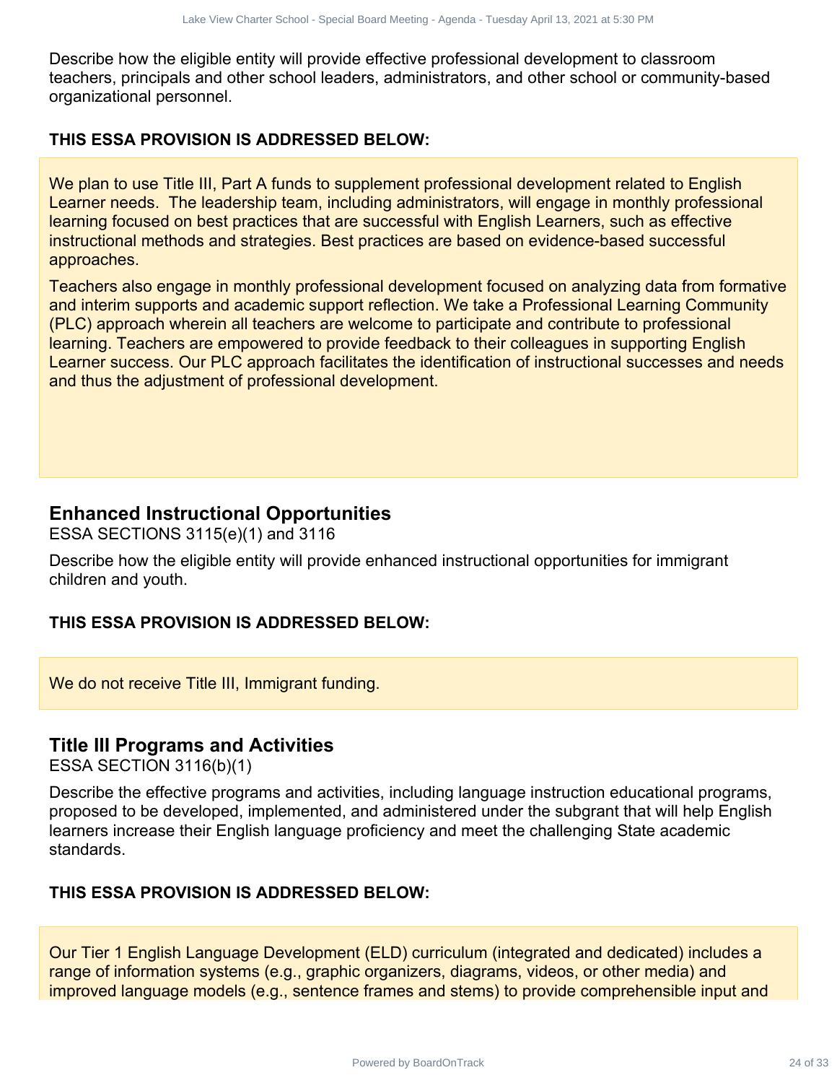Describe how the eligible entity will provide effective professional development to classroom teachers, principals and other school leaders, administrators, and other school or community-based organizational personnel.

### **THIS ESSA PROVISION IS ADDRESSED BELOW:**

We plan to use Title III, Part A funds to supplement professional development related to English Learner needs. The leadership team, including administrators, will engage in monthly professional learning focused on best practices that are successful with English Learners, such as effective instructional methods and strategies. Best practices are based on evidence-based successful approaches.

Teachers also engage in monthly professional development focused on analyzing data from formative and interim supports and academic support reflection. We take a Professional Learning Community (PLC) approach wherein all teachers are welcome to participate and contribute to professional learning. Teachers are empowered to provide feedback to their colleagues in supporting English Learner success. Our PLC approach facilitates the identification of instructional successes and needs and thus the adjustment of professional development. Powered by Board 24 of 23 Care School Controllering - Agents - Tuesday and 13, 2021 at 3:30 PM and 24 Of 2021 at 5:30 PM and 24 Of 2021 at 5:30 PM and 24 Of 2021 at 5:30 PM and 24 Of 2021 at 5:30 PM and 24 Of 2021 at 5:30

### **Enhanced Instructional Opportunities**

ESSA SECTIONS 3115(e)(1) and 3116

Describe how the eligible entity will provide enhanced instructional opportunities for immigrant children and youth.

### **THIS ESSA PROVISION IS ADDRESSED BELOW:**

We do not receive Title III, Immigrant funding.

### **Title III Programs and Activities**

ESSA SECTION 3116(b)(1)

Describe the effective programs and activities, including language instruction educational programs, proposed to be developed, implemented, and administered under the subgrant that will help English learners increase their English language proficiency and meet the challenging State academic standards.

### **THIS ESSA PROVISION IS ADDRESSED BELOW:**

Our Tier 1 English Language Development (ELD) curriculum (integrated and dedicated) includes a range of information systems (e.g., graphic organizers, diagrams, videos, or other media) and improved language models (e.g., sentence frames and stems) to provide comprehensible input and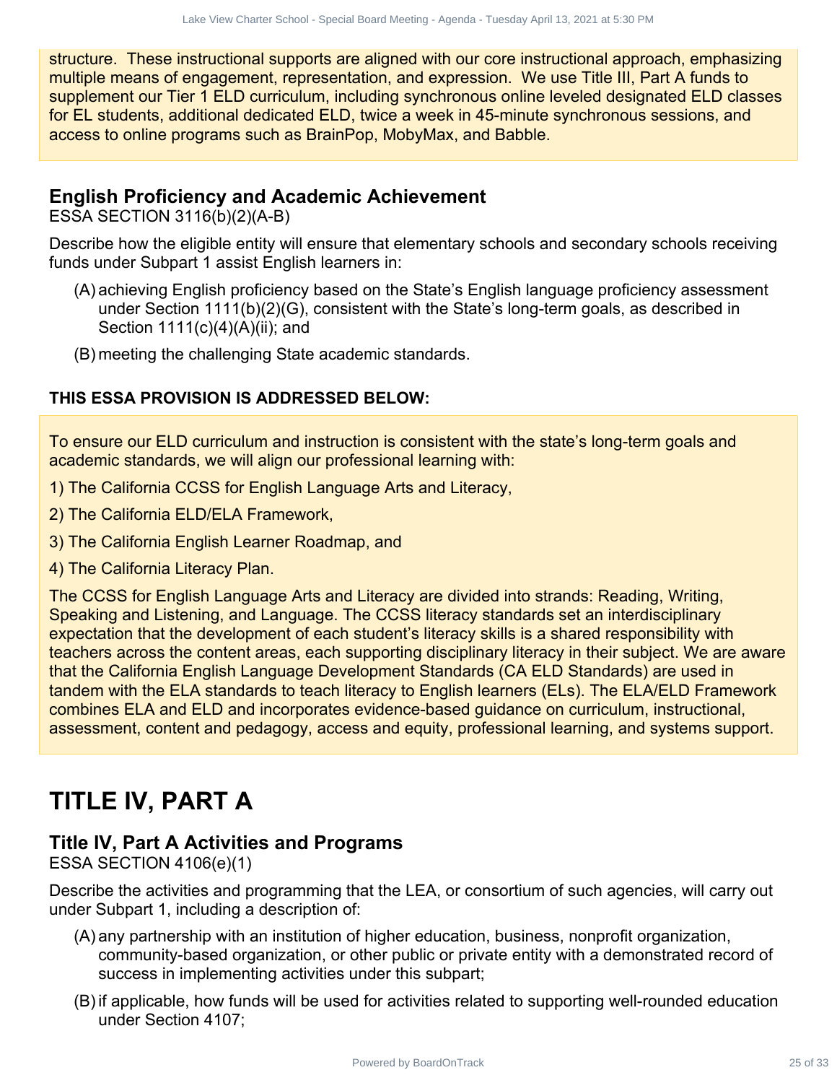structure. These instructional supports are aligned with our core instructional approach, emphasizing multiple means of engagement, representation, and expression. We use Title III, Part A funds to supplement our Tier 1 ELD curriculum, including synchronous online leveled designated ELD classes for EL students, additional dedicated ELD, twice a week in 45-minute synchronous sessions, and access to online programs such as BrainPop, MobyMax, and Babble.

### **English Proficiency and Academic Achievement**

ESSA SECTION 3116(b)(2)(A-B)

Describe how the eligible entity will ensure that elementary schools and secondary schools receiving funds under Subpart 1 assist English learners in:

- (A) achieving English proficiency based on the State's English language proficiency assessment under Section 1111(b)(2)(G), consistent with the State's long-term goals, as described in Section 1111(c)(4)(A)(ii); and
- (B) meeting the challenging State academic standards.

### **THIS ESSA PROVISION IS ADDRESSED BELOW:**

To ensure our ELD curriculum and instruction is consistent with the state's long-term goals and academic standards, we will align our professional learning with:

- 1) The California CCSS for English Language Arts and Literacy,
- 2) The California ELD/ELA Framework,
- 3) The California English Learner Roadmap, and
- 4) The California Literacy Plan.

The CCSS for English Language Arts and Literacy are divided into strands: Reading, Writing, Speaking and Listening, and Language. The CCSS literacy standards set an interdisciplinary expectation that the development of each student's literacy skills is a shared responsibility with teachers across the content areas, each supporting disciplinary literacy in their subject. We are aware that the California English Language Development Standards (CA ELD Standards) are used in tandem with the ELA standards to teach literacy to English learners (ELs). The ELA/ELD Framework combines ELA and ELD and incorporates evidence-based guidance on curriculum, instructional, assessment, content and pedagogy, access and equity, professional learning, and systems support. Howered by Board Contract Contract Contract Contract Contract Contract Contract Contract Contract Contract Contract Contract Contract Contract Charter Contract Contract Contract Contract Contract Contract Contract Contract

# **TITLE IV, PART A**

### **Title IV, Part A Activities and Programs**

ESSA SECTION 4106(e)(1)

Describe the activities and programming that the LEA, or consortium of such agencies, will carry out under Subpart 1, including a description of:

- (A) any partnership with an institution of higher education, business, nonprofit organization, community-based organization, or other public or private entity with a demonstrated record of success in implementing activities under this subpart;
- (B) if applicable, how funds will be used for activities related to supporting well-rounded education under Section 4107;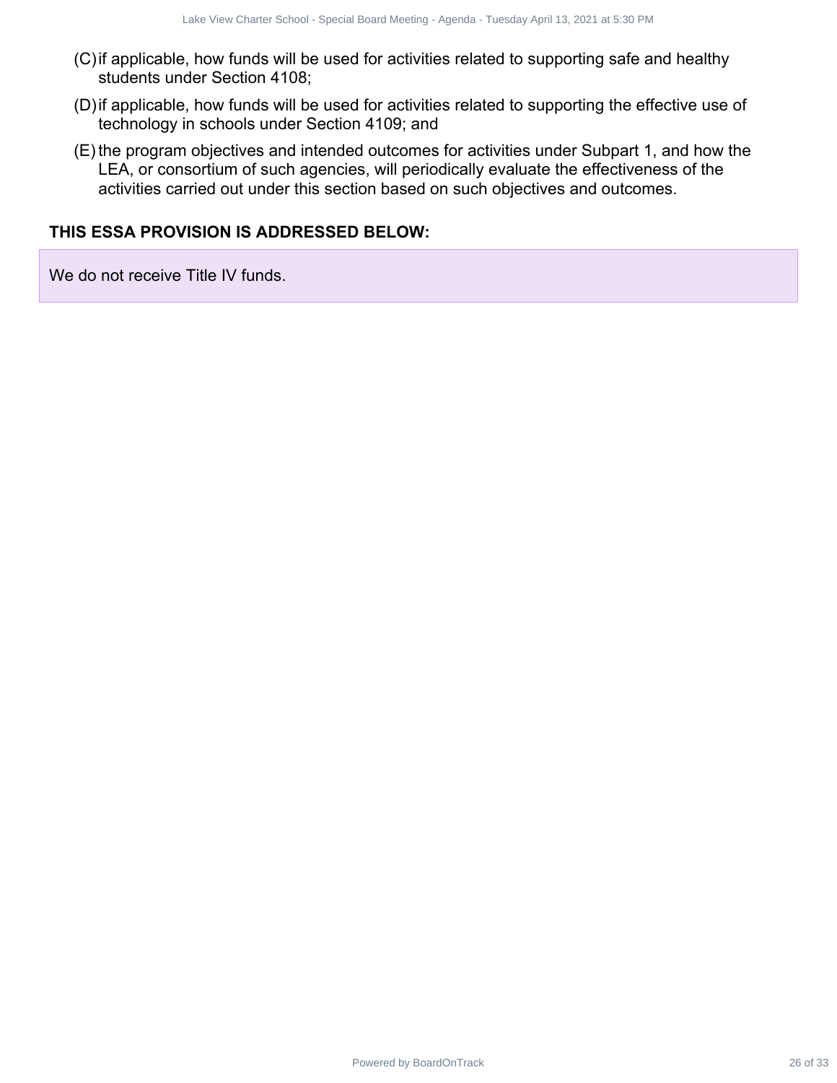- (C)if applicable, how funds will be used for activities related to supporting safe and healthy students under Section 4108;
- (D)if applicable, how funds will be used for activities related to supporting the effective use of technology in schools under Section 4109; and
- (E) the program objectives and intended outcomes for activities under Subpart 1, and how the LEA, or consortium of such agencies, will periodically evaluate the effectiveness of the activities carried out under this section based on such objectives and outcomes. Powered by BoardOnTrack<br>
Power Media Will be used for activities related to supporting safe and healthy<br>
the Yo-Kunda will be used for activities related to supporting the effective use of<br>
h, how funds will be used for ac

### **THIS ESSA PROVISION IS ADDRESSED BELOW:**

We do not receive Title IV funds.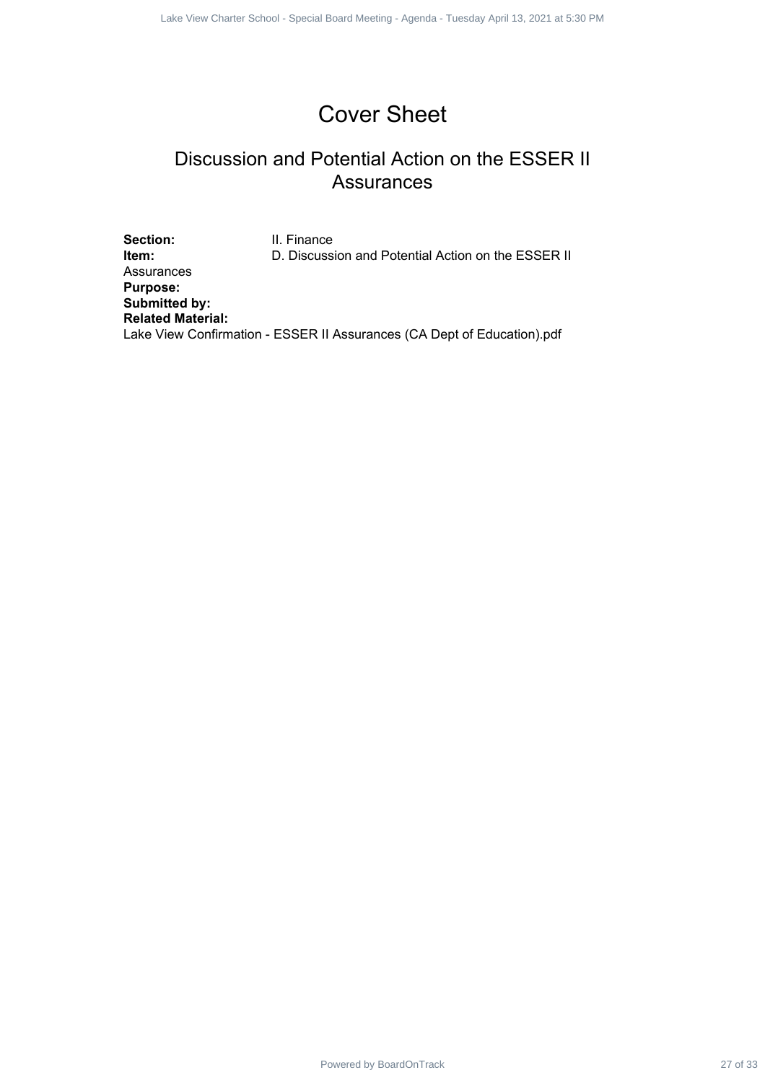# Cover Sheet

### Discussion and Potential Action on the ESSER II **Assurances**

Section: **II. Finance Item:** D. Discussion and Potential Action on the ESSER II Assurances **Purpose: Submitted by: Related Material:** Lake View Confirmation - ESSER II Assurances (CA Dept of Education).pdf Powered by BoardOnTrack 27 of 33 1 1 Lake View Charter School - Special Board Meeting - Agenda - Tuesday April 13, 2021 at 5:30 PM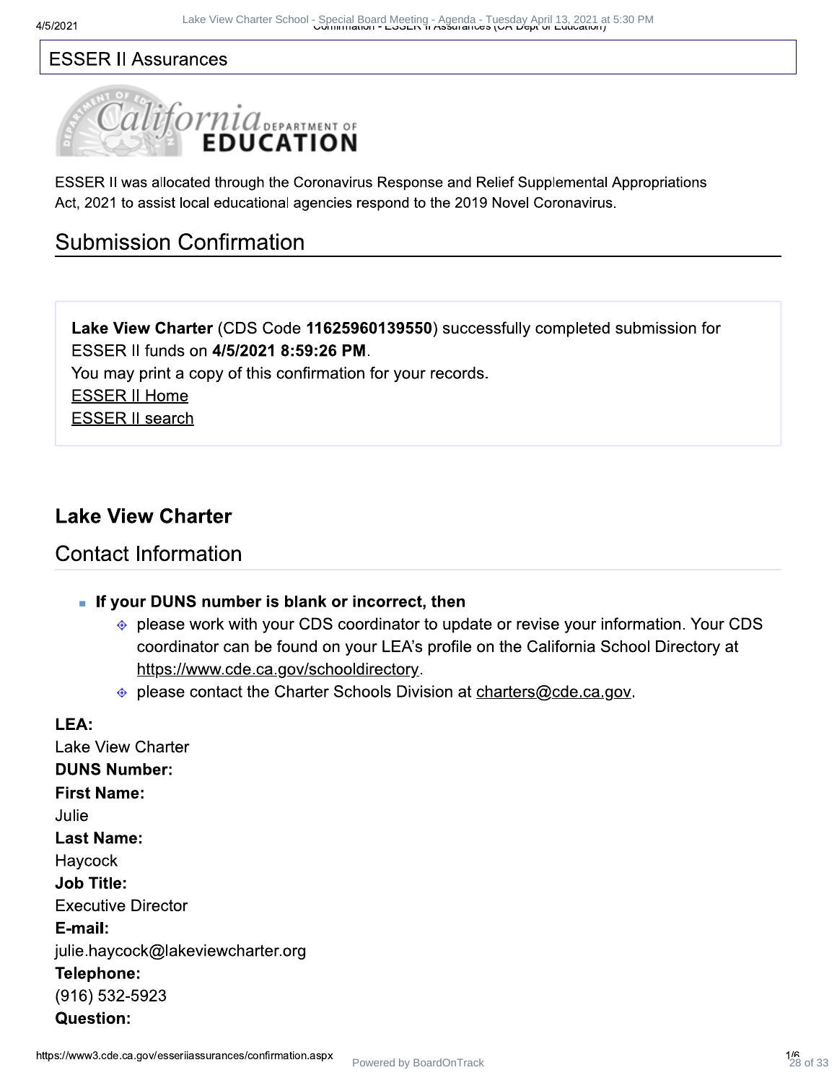### **ESSER II Assurances**



 $\texttt{LSSER}$  if was allocated through the Coronavirus Response and Relief Supplemental Appropriations Act, 2021 to assist local educational agencies respond to the 2019 Novel Coronavirus.

# <u>Submission Confirmation</u>

Lake View Charter (CDS Code 11625960139550) successfully completed submission for ESSER II funds on 4/5/2021 8:59:26 PM.

You may print a copy of this confirmation for your records.

**ESSER II Home** 

**ESSER II search** 

### **Lake View Charter**

# Contact Information

- If your DUNS number is blank or incorrect, then
	- please work with your CDS coordinator to update or revise your information. Your CDS coordinator can be found on your LEA's profile on the California School Directory at <u>https://www.cde.ca.gov/schooldirectory</u>.
	- $\bullet$  please contact the Charter Schools Division at charters @ cde.ca.gov.

# wCriafter.org<br>ances/confirmation.aspx<br> $1/6$ <br> $28$  $LEA$ : Lake View Charter **DUNS Number:** First Name: Julie Last Name: Haycock Job Title: Lake view Charter<br>
DUNS Number:<br>
First Name:<br>
Julie<br>
Last Name:<br>
Haycock<br>
Job Title:<br>
Executive Director<br>
E-mail:<br>
julie.haycock@lakeview<br>
Telephone:<br>
(916) 532-5923<br>
Question:<br>
https://www3.cde.ca.gov/esseriiassurand E-mail: julie.haycock@lakeviewcharter.org Telephone: (916) 532-5923 Question: Power Come Shot (Strait Action 28 of 28 September 28 of 33 April 28 Charter School - Special Approximations<br> **Example 28 DUCATTION**<br> **Example 28 of 33 April 28 April 28 April 28 April 28 April 28 April 28 April 28 April 28**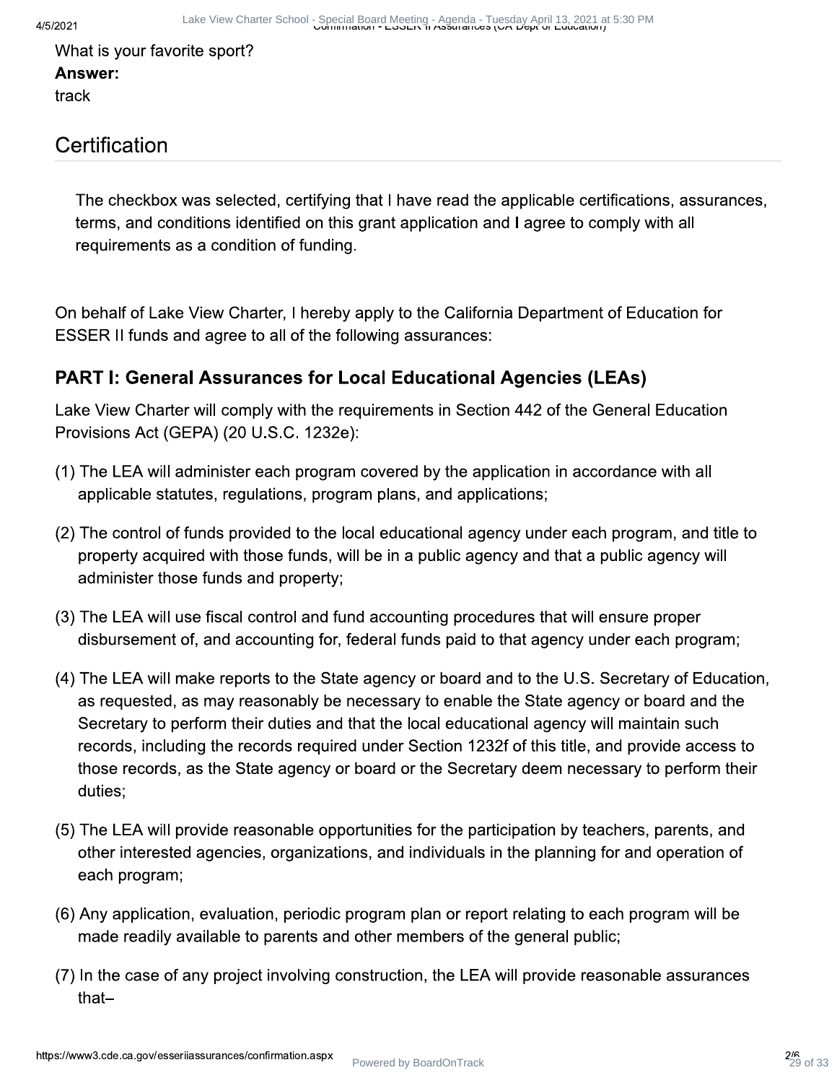What is your favorite sport? Answer: track

## Certification

The checkbox was selected, certifying that I have read the applicable certifications, assurances, terms, and conditions identified on this grant application and I agree to comply with all requirements as a condition of funding.

On behalf of Lake View Charter, I hereby apply to the California Department of Education for ESSER II funds and agree to all of the following assurances:

### **PART I: General Assurances for Local Educational Agencies (LEAs)**

Lake View Charter will comply with the requirements in Section 442 of the General Education Provisions Act (GEPA) (20 U.S.C. 1232e):

- (1) The LEA will administer each program covered by the application in accordance with all applicable statutes, regulations, program plans, and applications;
- (2) The control of funds provided to the local educational agency under each program, and title to property acquired with those funds, will be in a public agency and that a public agency will administer those funds and property;
- (3) The LEA will use fiscal control and fund accounting procedures that will ensure proper disbursement of, and accounting for, federal funds paid to that agency under each program;
- (4) The LEA will make reports to the State agency or board and to the U.S. Secretary of Education, as requested, as may reasonably be necessary to enable the State agency or board and the Secretary to perform their duties and that the local educational agency will maintain such records, including the records required under Section 1232f of this title, and provide access to those records, as the State agency or board or the Secretary deem necessary to perform their duties:
- (5) The LEA will provide reasonable opportunities for the participation by teachers, parents, and other interested agencies, organizations, and individuals in the planning for and operation of each program;
- (6) Any application, evaluation, periodic program plan or report relating to each program will be made readily available to parents and other members of the general public;
- (7) In the case of any project involving construction, the LEA will provide reasonable assurances that-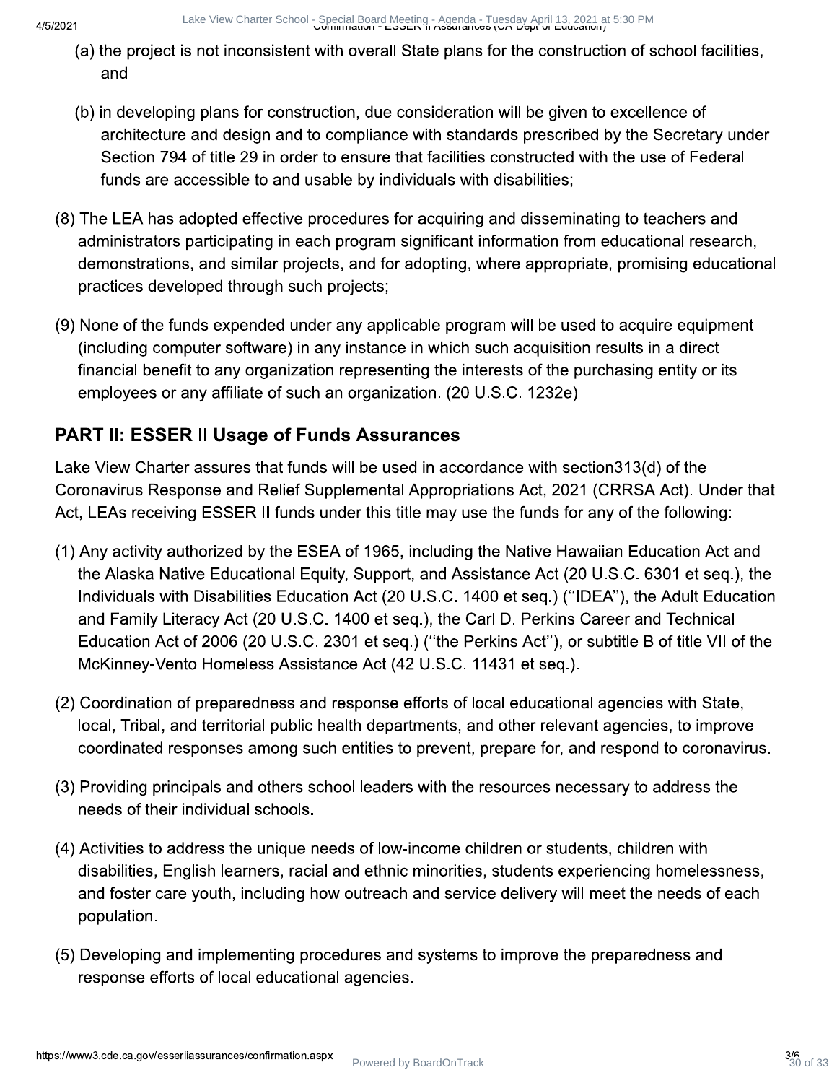Lake View Charter School - Special Board Meeting - Agenda - Tuesday April 13, 2021 and Lake View Charter School 2021 at 5:30 PM

- (a) the project is not inconsistent with overall State plans for the construction of school facilities, and
- (b) in developing plans for construction, due consideration will be given to excellence of architecture and design and to compliance with standards prescribed by the Secretary under Section 794 of title 29 in order to ensure that facilities constructed with the use of Federal funds are accessible to and usable by individuals with disabilities;
- (8) The LEA has adopted effective procedures for acquiring and disseminating to teachers and administrators participating in each program significant information from educational research, demonstrations, and similar projects, and for adopting, where appropriate, promising educational practices developed through such projects;
- (9) None of the funds expended under any applicable program will be used to acquire equipment (including computer software) in any instance in which such acquisition results in a direct financial benefit to any organization representing the interests of the purchasing entity or its employees or any affiliate of such an organization. (20 U.S.C. 1232e)

### **PART II: ESSER II Usage of Funds Assurances**

Lake View Charter assures that funds will be used in accordance with section 313(d) of the Coronavirus Response and Relief Supplemental Appropriations Act, 2021 (CRRSA Act). Under that Act, LEAs receiving ESSER II funds under this title may use the funds for any of the following:

- (1) Any activity authorized by the ESEA of 1965, including the Native Hawaiian Education Act and the Alaska Native Educational Equity, Support, and Assistance Act (20 U.S.C. 6301 et seg.), the Individuals with Disabilities Education Act (20 U.S.C. 1400 et seq.) ("IDEA"), the Adult Education and Family Literacy Act (20 U.S.C. 1400 et seq.), the Carl D. Perkins Career and Technical Education Act of 2006 (20 U.S.C. 2301 et seg.) ("the Perkins Act"), or subtitle B of title VII of the McKinney-Vento Homeless Assistance Act (42 U.S.C. 11431 et seq.).
- (2) Coordination of preparedness and response efforts of local educational agencies with State. local, Tribal, and territorial public health departments, and other relevant agencies, to improve coordinated responses among such entities to prevent, prepare for, and respond to coronavirus.
- (3) Providing principals and others school leaders with the resources necessary to address the needs of their individual schools.
- (4) Activities to address the unique needs of low-income children or students, children with disabilities, English learners, racial and ethnic minorities, students experiencing homelessness, and foster care youth, including how outreach and service delivery will meet the needs of each population.
- (5) Developing and implementing procedures and systems to improve the preparedness and response efforts of local educational agencies.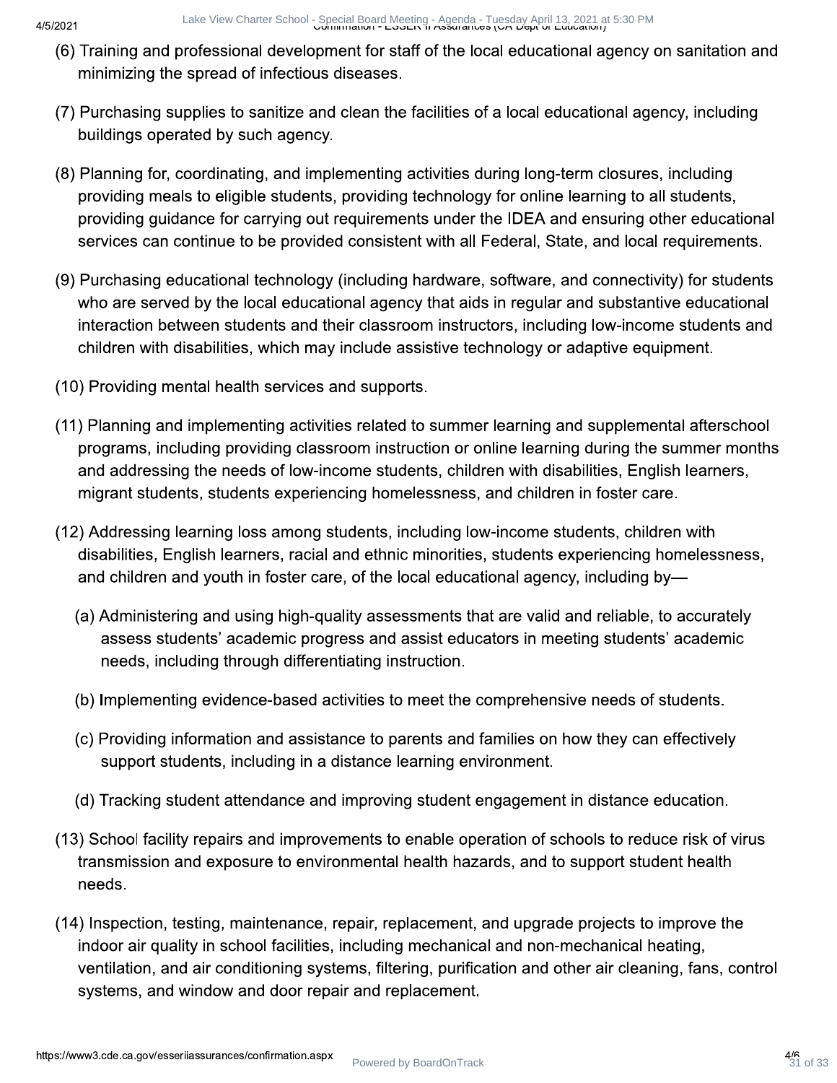- (6) Training and professional development for staff of the local educational agency on sanitation and minimizing the spread of infectious diseases.
- (7) Purchasing supplies to sanitize and clean the facilities of a local educational agency, including buildings operated by such agency.
- (8) Planning for, coordinating, and implementing activities during long-term closures, including providing meals to eligible students, providing technology for online learning to all students, providing guidance for carrying out requirements under the IDEA and ensuring other educational services can continue to be provided consistent with all Federal, State, and local requirements.
- (9) Purchasing educational technology (including hardware, software, and connectivity) for students who are served by the local educational agency that aids in regular and substantive educational interaction between students and their classroom instructors, including low-income students and children with disabilities, which may include assistive technology or adaptive equipment.
- (10) Providing mental health services and supports.
- (11) Planning and implementing activities related to summer learning and supplemental afterschool programs, including providing classroom instruction or online learning during the summer months and addressing the needs of low-income students, children with disabilities, English learners, migrant students, students experiencing homelessness, and children in foster care.
- (12) Addressing learning loss among students, including low-income students, children with disabilities, English learners, racial and ethnic minorities, students experiencing homelessness, and children and youth in foster care, of the local educational agency, including by-
	- (a) Administering and using high-quality assessments that are valid and reliable, to accurately assess students' academic progress and assist educators in meeting students' academic needs, including through differentiating instruction.
	- (b) Implementing evidence-based activities to meet the comprehensive needs of students.
	- (c) Providing information and assistance to parents and families on how they can effectively support students, including in a distance learning environment.
	- (d) Tracking student attendance and improving student engagement in distance education.
- (13) School facility repairs and improvements to enable operation of schools to reduce risk of virus transmission and exposure to environmental health hazards, and to support student health needs.
- (14) Inspection, testing, maintenance, repair, replacement, and upgrade projects to improve the indoor air quality in school facilities, including mechanical and non-mechanical heating, ventilation, and air conditioning systems, filtering, purification and other air cleaning, fans, control systems, and window and door repair and replacement.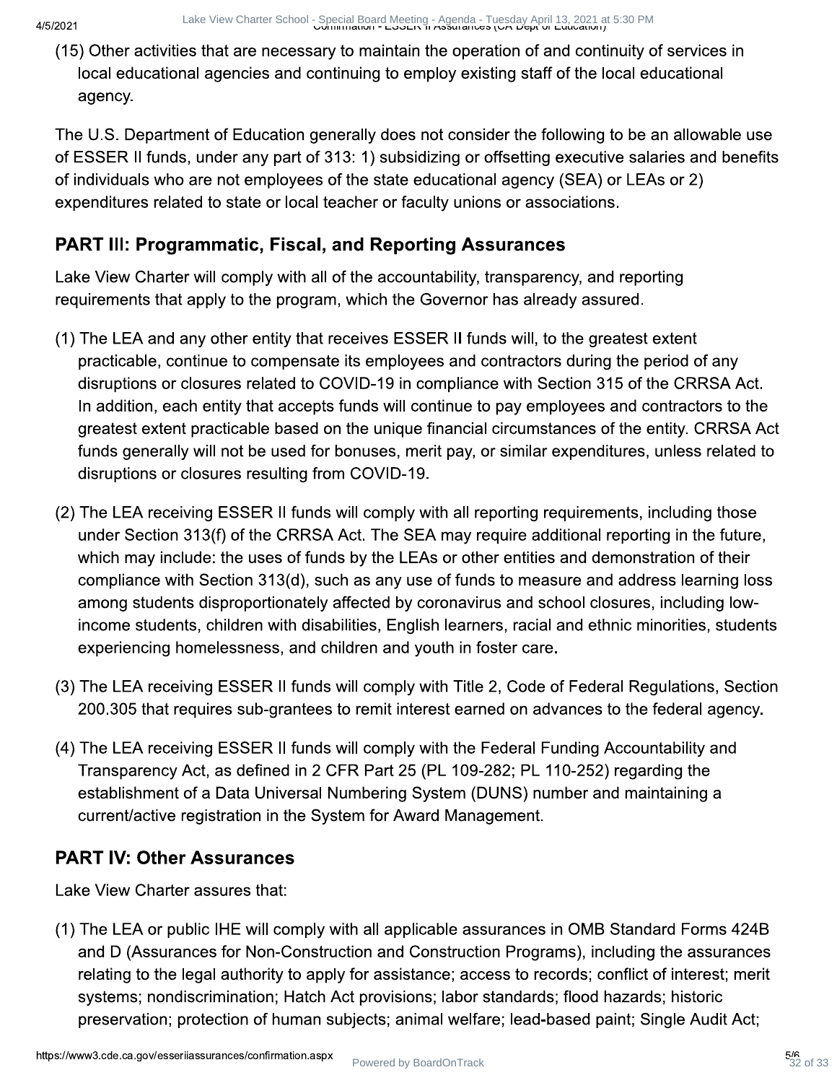(15) Other activities that are necessary to maintain the operation of and continuity of services in local educational agencies and continuing to employ existing staff of the local educational agency.

The U.S. Department of Education generally does not consider the following to be an allowable use of ESSER II funds, under any part of 313: 1) subsidizing or offsetting executive salaries and benefits of individuals who are not employees of the state educational agency (SEA) or LEAs or 2) expenditures related to state or local teacher or faculty unions or associations.

### **PART III: Programmatic, Fiscal, and Reporting Assurances**

Lake View Charter will comply with all of the accountability, transparency, and reporting requirements that apply to the program, which the Governor has already assured.

- (1) The LEA and any other entity that receives ESSER II funds will, to the greatest extent practicable, continue to compensate its employees and contractors during the period of any disruptions or closures related to COVID-19 in compliance with Section 315 of the CRRSA Act. In addition, each entity that accepts funds will continue to pay employees and contractors to the greatest extent practicable based on the unique financial circumstances of the entity. CRRSA Act funds generally will not be used for bonuses, merit pay, or similar expenditures, unless related to disruptions or closures resulting from COVID-19.
- (2) The LEA receiving ESSER II funds will comply with all reporting requirements, including those under Section 313(f) of the CRRSA Act. The SEA may require additional reporting in the future, which may include: the uses of funds by the LEAs or other entities and demonstration of their compliance with Section 313(d), such as any use of funds to measure and address learning loss among students disproportionately affected by coronavirus and school closures, including lowincome students, children with disabilities, English learners, racial and ethnic minorities, students experiencing homelessness, and children and youth in foster care.
- (3) The LEA receiving ESSER II funds will comply with Title 2, Code of Federal Regulations, Section 200.305 that requires sub-grantees to remit interest earned on advances to the federal agency.
- (4) The LEA receiving ESSER II funds will comply with the Federal Funding Accountability and Transparency Act, as defined in 2 CFR Part 25 (PL 109-282; PL 110-252) regarding the establishment of a Data Universal Numbering System (DUNS) number and maintaining a current/active registration in the System for Award Management.

### **PART IV: Other Assurances**

Lake View Charter assures that:

(1) The LEA or public IHE will comply with all applicable assurances in OMB Standard Forms 424B and D (Assurances for Non-Construction and Construction Programs), including the assurances relating to the legal authority to apply for assistance; access to records; conflict of interest; merit systems; nondiscrimination; Hatch Act provisions; labor standards; flood hazards; historic preservation; protection of human subjects; animal welfare; lead-based paint; Single Audit Act;